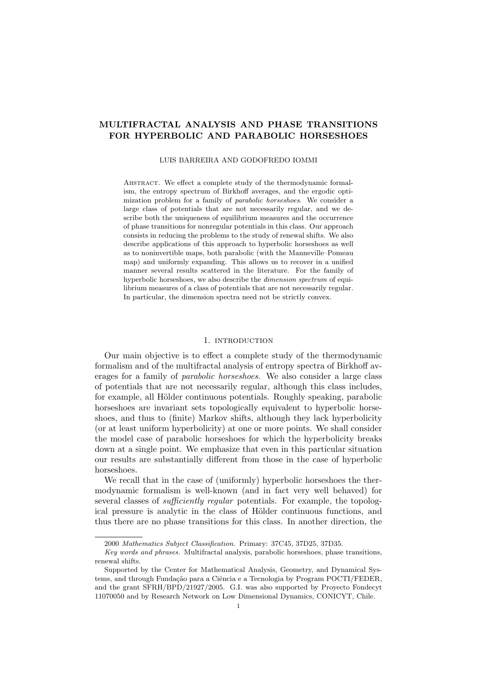# MULTIFRACTAL ANALYSIS AND PHASE TRANSITIONS FOR HYPERBOLIC AND PARABOLIC HORSESHOES

## LUIS BARREIRA AND GODOFREDO IOMMI

ABSTRACT. We effect a complete study of the thermodynamic formalism, the entropy spectrum of Birkhoff averages, and the ergodic optimization problem for a family of parabolic horseshoes. We consider a large class of potentials that are not necessarily regular, and we describe both the uniqueness of equilibrium measures and the occurrence of phase transitions for nonregular potentials in this class. Our approach consists in reducing the problems to the study of renewal shifts. We also describe applications of this approach to hyperbolic horseshoes as well as to noninvertible maps, both parabolic (with the Manneville–Pomeau map) and uniformly expanding. This allows us to recover in a unified manner several results scattered in the literature. For the family of hyperbolic horseshoes, we also describe the dimension spectrum of equilibrium measures of a class of potentials that are not necessarily regular. In particular, the dimension spectra need not be strictly convex.

## 1. INTRODUCTION

Our main objective is to effect a complete study of the thermodynamic formalism and of the multifractal analysis of entropy spectra of Birkhoff averages for a family of parabolic horseshoes. We also consider a large class of potentials that are not necessarily regular, although this class includes, for example, all Hölder continuous potentials. Roughly speaking, parabolic horseshoes are invariant sets topologically equivalent to hyperbolic horseshoes, and thus to (finite) Markov shifts, although they lack hyperbolicity (or at least uniform hyperbolicity) at one or more points. We shall consider the model case of parabolic horseshoes for which the hyperbolicity breaks down at a single point. We emphasize that even in this particular situation our results are substantially different from those in the case of hyperbolic horseshoes.

We recall that in the case of (uniformly) hyperbolic horseshoes the thermodynamic formalism is well-known (and in fact very well behaved) for several classes of sufficiently regular potentials. For example, the topological pressure is analytic in the class of Hölder continuous functions, and thus there are no phase transitions for this class. In another direction, the

<sup>2000</sup> Mathematics Subject Classification. Primary: 37C45, 37D25, 37D35.

Key words and phrases. Multifractal analysis, parabolic horseshoes, phase transitions, renewal shifts.

Supported by the Center for Mathematical Analysis, Geometry, and Dynamical Systems, and through Fundação para a Ciência e a Tecnologia by Program POCTI/FEDER. and the grant SFRH/BPD/21927/2005. G.I. was also supported by Proyecto Fondecyt 11070050 and by Research Network on Low Dimensional Dynamics, CONICYT, Chile.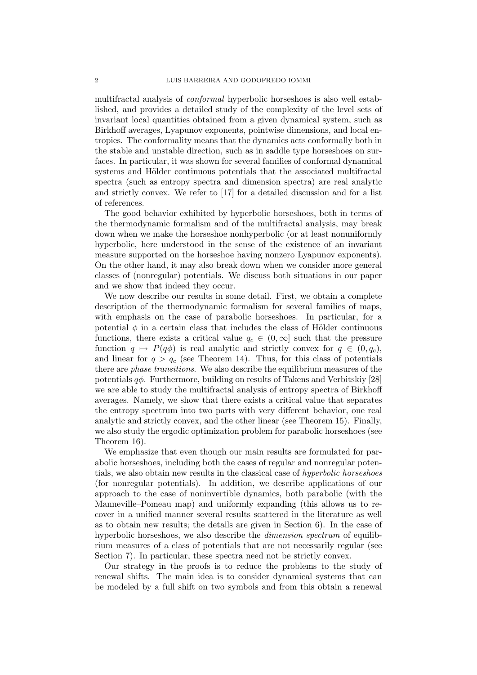multifractal analysis of conformal hyperbolic horseshoes is also well established, and provides a detailed study of the complexity of the level sets of invariant local quantities obtained from a given dynamical system, such as Birkhoff averages, Lyapunov exponents, pointwise dimensions, and local entropies. The conformality means that the dynamics acts conformally both in the stable and unstable direction, such as in saddle type horseshoes on surfaces. In particular, it was shown for several families of conformal dynamical systems and Hölder continuous potentials that the associated multifractal spectra (such as entropy spectra and dimension spectra) are real analytic and strictly convex. We refer to [17] for a detailed discussion and for a list of references.

The good behavior exhibited by hyperbolic horseshoes, both in terms of the thermodynamic formalism and of the multifractal analysis, may break down when we make the horseshoe nonhyperbolic (or at least nonuniformly hyperbolic, here understood in the sense of the existence of an invariant measure supported on the horseshoe having nonzero Lyapunov exponents). On the other hand, it may also break down when we consider more general classes of (nonregular) potentials. We discuss both situations in our paper and we show that indeed they occur.

We now describe our results in some detail. First, we obtain a complete description of the thermodynamic formalism for several families of maps, with emphasis on the case of parabolic horseshoes. In particular, for a potential  $\phi$  in a certain class that includes the class of Hölder continuous functions, there exists a critical value  $q_c \in (0,\infty]$  such that the pressure function  $q \mapsto P(q\phi)$  is real analytic and strictly convex for  $q \in (0, q_c)$ , and linear for  $q > q_c$  (see Theorem 14). Thus, for this class of potentials there are phase transitions. We also describe the equilibrium measures of the potentials  $q\phi$ . Furthermore, building on results of Takens and Verbitskiy [28] we are able to study the multifractal analysis of entropy spectra of Birkhoff averages. Namely, we show that there exists a critical value that separates the entropy spectrum into two parts with very different behavior, one real analytic and strictly convex, and the other linear (see Theorem 15). Finally, we also study the ergodic optimization problem for parabolic horseshoes (see Theorem 16).

We emphasize that even though our main results are formulated for parabolic horseshoes, including both the cases of regular and nonregular potentials, we also obtain new results in the classical case of hyperbolic horseshoes (for nonregular potentials). In addition, we describe applications of our approach to the case of noninvertible dynamics, both parabolic (with the Manneville–Pomeau map) and uniformly expanding (this allows us to recover in a unified manner several results scattered in the literature as well as to obtain new results; the details are given in Section 6). In the case of hyperbolic horseshoes, we also describe the *dimension spectrum* of equilibrium measures of a class of potentials that are not necessarily regular (see Section 7). In particular, these spectra need not be strictly convex.

Our strategy in the proofs is to reduce the problems to the study of renewal shifts. The main idea is to consider dynamical systems that can be modeled by a full shift on two symbols and from this obtain a renewal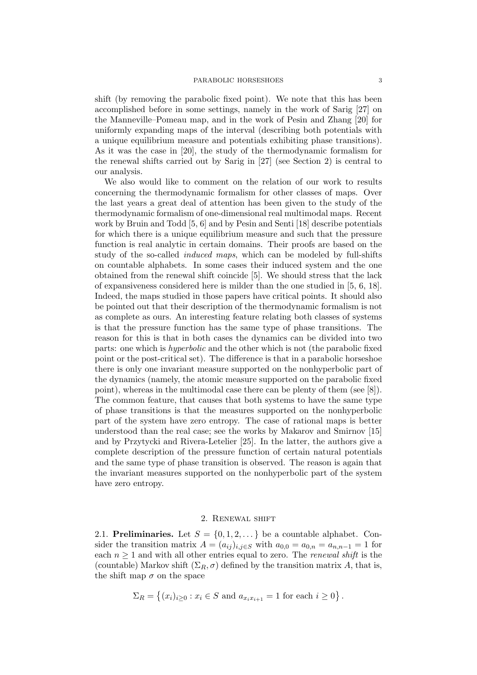shift (by removing the parabolic fixed point). We note that this has been accomplished before in some settings, namely in the work of Sarig [27] on the Manneville–Pomeau map, and in the work of Pesin and Zhang [20] for uniformly expanding maps of the interval (describing both potentials with a unique equilibrium measure and potentials exhibiting phase transitions). As it was the case in [20], the study of the thermodynamic formalism for the renewal shifts carried out by Sarig in [27] (see Section 2) is central to our analysis.

We also would like to comment on the relation of our work to results concerning the thermodynamic formalism for other classes of maps. Over the last years a great deal of attention has been given to the study of the thermodynamic formalism of one-dimensional real multimodal maps. Recent work by Bruin and Todd [5, 6] and by Pesin and Senti [18] describe potentials for which there is a unique equilibrium measure and such that the pressure function is real analytic in certain domains. Their proofs are based on the study of the so-called induced maps, which can be modeled by full-shifts on countable alphabets. In some cases their induced system and the one obtained from the renewal shift coincide [5]. We should stress that the lack of expansiveness considered here is milder than the one studied in [5, 6, 18]. Indeed, the maps studied in those papers have critical points. It should also be pointed out that their description of the thermodynamic formalism is not as complete as ours. An interesting feature relating both classes of systems is that the pressure function has the same type of phase transitions. The reason for this is that in both cases the dynamics can be divided into two parts: one which is hyperbolic and the other which is not (the parabolic fixed point or the post-critical set). The difference is that in a parabolic horseshoe there is only one invariant measure supported on the nonhyperbolic part of the dynamics (namely, the atomic measure supported on the parabolic fixed point), whereas in the multimodal case there can be plenty of them (see [8]). The common feature, that causes that both systems to have the same type of phase transitions is that the measures supported on the nonhyperbolic part of the system have zero entropy. The case of rational maps is better understood than the real case; see the works by Makarov and Smirnov [15] and by Przytycki and Rivera-Letelier [25]. In the latter, the authors give a complete description of the pressure function of certain natural potentials and the same type of phase transition is observed. The reason is again that the invariant measures supported on the nonhyperbolic part of the system have zero entropy.

## 2. Renewal shift

2.1. Preliminaries. Let  $S = \{0, 1, 2, \dots\}$  be a countable alphabet. Consider the transition matrix  $A = (a_{ij})_{i,j \in S}$  with  $a_{0,0} = a_{0,n} = a_{n,n-1} = 1$  for each  $n \geq 1$  and with all other entries equal to zero. The *renewal shift* is the (countable) Markov shift  $(\Sigma_R, \sigma)$  defined by the transition matrix A, that is, the shift map  $\sigma$  on the space

$$
\Sigma_R = \{(x_i)_{i \ge 0} : x_i \in S \text{ and } a_{x_i x_{i+1}} = 1 \text{ for each } i \ge 0\}.
$$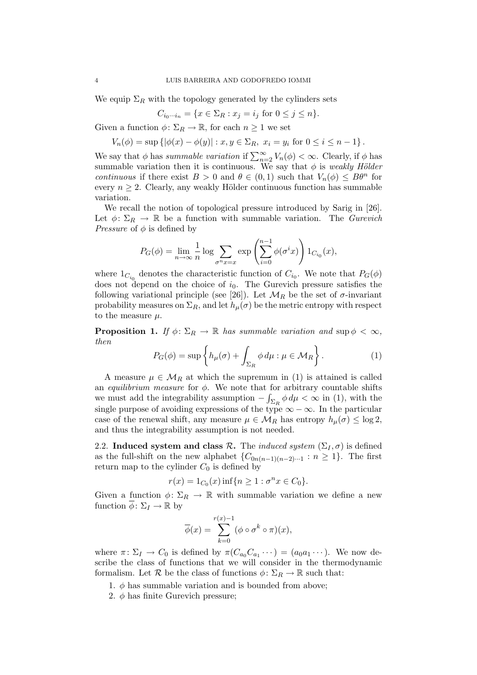We equip  $\Sigma_R$  with the topology generated by the cylinders sets

$$
C_{i_0\cdots i_n} = \{x \in \Sigma_R : x_j = i_j \text{ for } 0 \le j \le n\}.
$$

Given a function  $\phi \colon \Sigma_R \to \mathbb{R}$ , for each  $n \geq 1$  we set

$$
V_n(\phi) = \sup \left\{ |\phi(x) - \phi(y)| : x, y \in \Sigma_R, \ x_i = y_i \text{ for } 0 \le i \le n - 1 \right\}.
$$

We say that  $\phi$  has summable variation if  $\sum_{n=2}^{\infty} V_n(\phi) < \infty$ . Clearly, if  $\phi$  has summable variation then it is continuous. We say that  $\phi$  is *weakly Hölder* continuous if there exist  $B > 0$  and  $\theta \in (0,1)$  such that  $V_n(\phi) \leq B\theta^n$  for every  $n \geq 2$ . Clearly, any weakly Hölder continuous function has summable variation.

We recall the notion of topological pressure introduced by Sarig in [26]. Let  $\phi \colon \Sigma_R \to \mathbb{R}$  be a function with summable variation. The *Gurevich Pressure* of  $\phi$  is defined by

$$
P_G(\phi) = \lim_{n \to \infty} \frac{1}{n} \log \sum_{\sigma^n x = x} \exp \left( \sum_{i=0}^{n-1} \phi(\sigma^i x) \right) 1_{C_{i_0}}(x),
$$

where  $1_{C_{i_0}}$  denotes the characteristic function of  $C_{i_0}$ . We note that  $P_G(\phi)$ does not depend on the choice of  $i_0$ . The Gurevich pressure satisfies the following variational principle (see [26]). Let  $\mathcal{M}_R$  be the set of  $\sigma$ -invariant probability measures on  $\Sigma_R$ , and let  $h_\mu(\sigma)$  be the metric entropy with respect to the measure  $\mu$ .

**Proposition 1.** If  $\phi: \Sigma_R \to \mathbb{R}$  has summable variation and sup  $\phi < \infty$ , then

$$
P_G(\phi) = \sup \left\{ h_\mu(\sigma) + \int_{\Sigma_R} \phi \, d\mu : \mu \in \mathcal{M}_R \right\}.
$$
 (1)

A measure  $\mu \in \mathcal{M}_R$  at which the supremum in (1) is attained is called an equilibrium measure for  $\phi$ . We note that for arbitrary countable shifts we must add the integrability assumption  $-\int_{\Sigma_R} \phi \, d\mu < \infty$  in (1), with the single purpose of avoiding expressions of the type  $\infty - \infty$ . In the particular case of the renewal shift, any measure  $\mu \in \mathcal{M}_R$  has entropy  $h_\mu(\sigma) \leq \log 2$ , and thus the integrability assumption is not needed.

2.2. Induced system and class R. The *induced system* ( $\Sigma_I$ ,  $\sigma$ ) is defined as the full-shift on the new alphabet  $\{C_{0n(n-1)(n-2)\cdots 1}: n \geq 1\}$ . The first return map to the cylinder  $C_0$  is defined by

$$
r(x) = 1_{C_0}(x) \inf \{ n \ge 1 : \sigma^n x \in C_0 \}.
$$

Given a function  $\phi \colon \Sigma_R \to \mathbb{R}$  with summable variation we define a new function  $\overline{\phi} \colon \Sigma_I \to \mathbb{R}$  by

$$
\overline{\phi}(x) = \sum_{k=0}^{r(x)-1} (\phi \circ \sigma^k \circ \pi)(x),
$$

where  $\pi \colon \Sigma_I \to C_0$  is defined by  $\pi(C_{a_0}C_{a_1}\cdots) = (a_0a_1\cdots)$ . We now describe the class of functions that we will consider in the thermodynamic formalism. Let  $\mathcal R$  be the class of functions  $\phi \colon \Sigma_R \to \mathbb R$  such that:

- 1.  $\phi$  has summable variation and is bounded from above;
- 2.  $\phi$  has finite Gurevich pressure;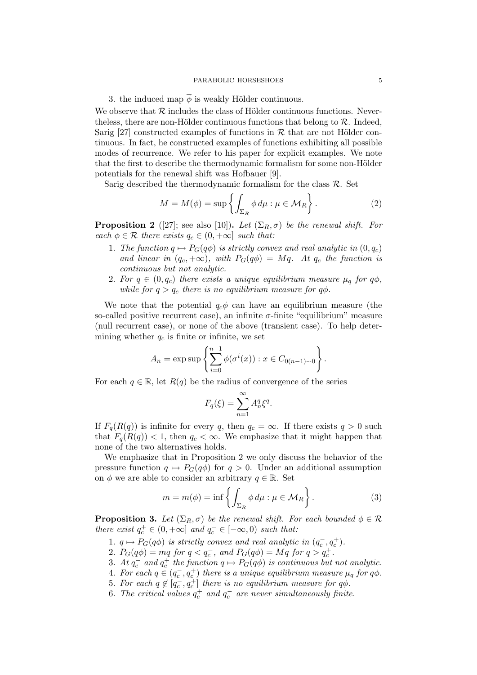#### PARABOLIC HORSESHOES 5

3. the induced map  $\overline{\phi}$  is weakly Hölder continuous.

We observe that  $R$  includes the class of Hölder continuous functions. Neverthe less, there are non-Hölder continuous functions that belong to  $\mathcal{R}$ . Indeed, Sarig [27] constructed examples of functions in  $\mathcal R$  that are not Hölder continuous. In fact, he constructed examples of functions exhibiting all possible modes of recurrence. We refer to his paper for explicit examples. We note that the first to describe the thermodynamic formalism for some non-Hölder potentials for the renewal shift was Hofbauer [9].

Sarig described the thermodynamic formalism for the class  $\mathcal{R}$ . Set

$$
M = M(\phi) = \sup \left\{ \int_{\Sigma_R} \phi \, d\mu : \mu \in \mathcal{M}_R \right\}.
$$
 (2)

**Proposition 2** ([27]; see also [10]). Let  $(\Sigma_R, \sigma)$  be the renewal shift. For each  $\phi \in \mathcal{R}$  there exists  $q_c \in (0, +\infty]$  such that:

- 1. The function  $q \mapsto P_G(q\phi)$  is strictly convex and real analytic in  $(0, q_c)$ and linear in  $(q_c, +\infty)$ , with  $P_G(q\phi) = Mq$ . At  $q_c$  the function is continuous but not analytic.
- 2. For  $q \in (0, q_c)$  there exists a unique equilibrium measure  $\mu_q$  for  $q\phi$ , while for  $q > q_c$  there is no equilibrium measure for  $q\phi$ .

We note that the potential  $q_c\phi$  can have an equilibrium measure (the so-called positive recurrent case), an infinite  $\sigma$ -finite "equilibrium" measure (null recurrent case), or none of the above (transient case). To help determining whether  $q_c$  is finite or infinite, we set

$$
A_n = \exp \sup \left\{ \sum_{i=0}^{n-1} \phi(\sigma^i(x)) : x \in C_{0(n-1)\cdots 0} \right\}.
$$

For each  $q \in \mathbb{R}$ , let  $R(q)$  be the radius of convergence of the series

$$
F_q(\xi) = \sum_{n=1}^{\infty} A_n^q \xi^q.
$$

If  $F_q(R(q))$  is infinite for every q, then  $q_c = \infty$ . If there exists  $q > 0$  such that  $F_q(R(q)) < 1$ , then  $q_c < \infty$ . We emphasize that it might happen that none of the two alternatives holds.

We emphasize that in Proposition 2 we only discuss the behavior of the pressure function  $q \mapsto P_G(q\phi)$  for  $q > 0$ . Under an additional assumption on  $\phi$  we are able to consider an arbitrary  $q \in \mathbb{R}$ . Set

$$
m = m(\phi) = \inf \left\{ \int_{\Sigma_R} \phi \, d\mu : \mu \in \mathcal{M}_R \right\}.
$$
 (3)

**Proposition 3.** Let  $(\Sigma_R, \sigma)$  be the renewal shift. For each bounded  $\phi \in \mathcal{R}$ there exist  $q_c^+ \in (0, +\infty]$  and  $q_c^- \in [-\infty, 0)$  such that:

- 1.  $q \mapsto P_G(q\phi)$  is strictly convex and real analytic in  $(q_c^-, q_c^+)$ .
- 2.  $P_G(q\phi) = mq \ for \ q < q_c^{-}$ , and  $P_G(q\phi) = Mq \ for \ q > q_c^{+}$ .
- 3. At  $q_c^-$  and  $q_c^+$  the function  $q \mapsto P_G(q\phi)$  is continuous but not analytic.
- 4. For each  $q \in (q_c^-, q_c^+)$  there is a unique equilibrium measure  $\mu_q$  for  $q\phi$ .
- 5. For each  $q \notin \left[q_c^-, q_c^+\right]$  there is no equilibrium measure for  $q\phi$ .
- 6. The critical values  $q_c^+$  and  $q_c^-$  are never simultaneously finite.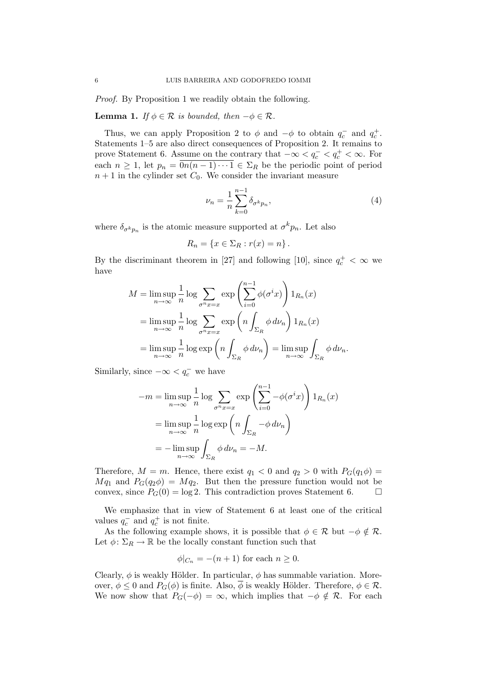Proof. By Proposition 1 we readily obtain the following.

**Lemma 1.** If  $\phi \in \mathcal{R}$  is bounded, then  $-\phi \in \mathcal{R}$ .

Thus, we can apply Proposition 2 to  $\phi$  and  $-\phi$  to obtain  $q_c^-$  and  $q_c^+$ . Statements 1–5 are also direct consequences of Proposition 2. It remains to prove Statement 6. Assume on the contrary that  $-\infty < q_c^- < q_c^+ < \infty$ . For each  $n \geq 1$ , let  $p_n = 0n(n-1)\cdots 1 \in \Sigma_R$  be the periodic point of period  $n + 1$  in the cylinder set  $C_0$ . We consider the invariant measure

$$
\nu_n = \frac{1}{n} \sum_{k=0}^{n-1} \delta_{\sigma^k p_n},
$$
\n(4)

where  $\delta_{\sigma^k p_n}$  is the atomic measure supported at  $\sigma^k p_n$ . Let also

$$
R_n = \{x \in \Sigma_R : r(x) = n\}.
$$

By the discriminant theorem in [27] and following [10], since  $q_c^+ < \infty$  we have

$$
M = \limsup_{n \to \infty} \frac{1}{n} \log \sum_{\sigma^n x = x} \exp \left( \sum_{i=0}^{n-1} \phi(\sigma^i x) \right) 1_{R_n}(x)
$$
  
= 
$$
\limsup_{n \to \infty} \frac{1}{n} \log \sum_{\sigma^n x = x} \exp \left( n \int_{\Sigma_R} \phi \, d\nu_n \right) 1_{R_n}(x)
$$
  
= 
$$
\limsup_{n \to \infty} \frac{1}{n} \log \exp \left( n \int_{\Sigma_R} \phi \, d\nu_n \right) = \limsup_{n \to \infty} \int_{\Sigma_R} \phi \, d\nu_n.
$$

Similarly, since  $-\infty < q_c^-$  we have

$$
-m = \limsup_{n \to \infty} \frac{1}{n} \log \sum_{\sigma^n x = x} \exp \left( \sum_{i=0}^{n-1} -\phi(\sigma^i x) \right) 1_{R_n}(x)
$$

$$
= \limsup_{n \to \infty} \frac{1}{n} \log \exp \left( n \int_{\Sigma_R} -\phi \, d\nu_n \right)
$$

$$
= -\limsup_{n \to \infty} \int_{\Sigma_R} \phi \, d\nu_n = -M.
$$

Therefore,  $M = m$ . Hence, there exist  $q_1 < 0$  and  $q_2 > 0$  with  $P_G(q_1\phi) =$  $Mq_1$  and  $P_G(q_2\phi) = Mq_2$ . But then the pressure function would not be convex, since  $P_G(0) = \log 2$ . This contradiction proves Statement 6.

We emphasize that in view of Statement 6 at least one of the critical values  $q_c^-$  and  $q_c^+$  is not finite.

As the following example shows, it is possible that  $\phi \in \mathcal{R}$  but  $-\phi \notin \mathcal{R}$ . Let  $\phi \colon \Sigma_R \to \mathbb{R}$  be the locally constant function such that

$$
\phi|_{C_n} = -(n+1)
$$
 for each  $n \ge 0$ .

Clearly,  $\phi$  is weakly Hölder. In particular,  $\phi$  has summable variation. Moreover,  $\phi \leq 0$  and  $P_G(\phi)$  is finite. Also,  $\overline{\phi}$  is weakly Hölder. Therefore,  $\phi \in \mathcal{R}$ . We now show that  $P_G(-\phi) = \infty$ , which implies that  $-\phi \notin \mathcal{R}$ . For each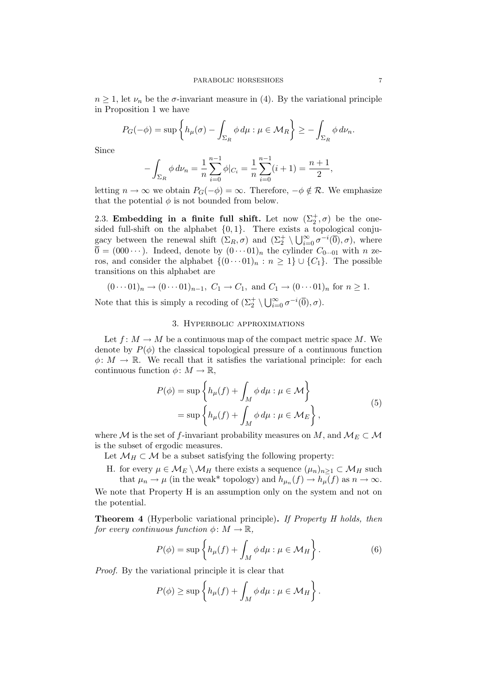$n \geq 1$ , let  $\nu_n$  be the  $\sigma$ -invariant measure in (4). By the variational principle in Proposition 1 we have

$$
P_G(-\phi) = \sup \left\{ h_\mu(\sigma) - \int_{\Sigma_R} \phi \, d\mu : \mu \in \mathcal{M}_R \right\} \ge - \int_{\Sigma_R} \phi \, d\nu_n.
$$

Since

$$
-\int_{\Sigma_R} \phi \, d\nu_n = \frac{1}{n} \sum_{i=0}^{n-1} \phi |_{C_i} = \frac{1}{n} \sum_{i=0}^{n-1} (i+1) = \frac{n+1}{2},
$$

letting  $n \to \infty$  we obtain  $P_G(-\phi) = \infty$ . Therefore,  $-\phi \notin \mathcal{R}$ . We emphasize that the potential  $\phi$  is not bounded from below.

2.3. Embedding in a finite full shift. Let now  $(\Sigma_2^+,\sigma)$  be the onesided full-shift on the alphabet  $\{0, 1\}$ . There exists a topological conjugacy between the renewal shift  $(\Sigma_R, \sigma)$  and  $(\Sigma_\mathbf{2}^+ \setminus \bigcup_{i=0}^\infty \sigma^{-i}(\overline{0}), \sigma)$ , where  $\overline{0} = (000 \cdots)$ . Indeed, denote by  $(0 \cdots 01)_n$  the cylinder  $C_{0\cdots 01}$  with n zeros, and consider the alphabet  $\{(0 \cdots 01)_n : n \geq 1\} \cup \{C_1\}$ . The possible transitions on this alphabet are

$$
(0 \cdots 01)_n \to (0 \cdots 01)_{n-1}, C_1 \to C_1
$$
, and  $C_1 \to (0 \cdots 01)_n$  for  $n \ge 1$ .

Note that this is simply a recoding of  $(\Sigma_2^+ \setminus \bigcup_{i=0}^{\infty} \sigma^{-i}(\overline{0}), \sigma)$ .

## 3. Hyperbolic approximations

Let  $f: M \to M$  be a continuous map of the compact metric space M. We denote by  $P(\phi)$  the classical topological pressure of a continuous function  $\phi: M \to \mathbb{R}$ . We recall that it satisfies the variational principle: for each continuous function  $\phi \colon M \to \mathbb{R}$ ,

$$
P(\phi) = \sup \left\{ h_{\mu}(f) + \int_{M} \phi \, d\mu : \mu \in \mathcal{M} \right\}
$$
  
= 
$$
\sup \left\{ h_{\mu}(f) + \int_{M} \phi \, d\mu : \mu \in \mathcal{M}_{E} \right\},
$$
 (5)

where M is the set of f-invariant probability measures on M, and  $\mathcal{M}_E \subset \mathcal{M}$ is the subset of ergodic measures.

Let  $\mathcal{M}_H \subset \mathcal{M}$  be a subset satisfying the following property:

H. for every  $\mu \in M_E \setminus M_H$  there exists a sequence  $(\mu_n)_{n \geq 1} \subset M_H$  such that  $\mu_n \to \mu$  (in the weak\* topology) and  $h_{\mu_n}(f) \to h_{\mu}(f)$  as  $n \to \infty$ .

We note that Property H is an assumption only on the system and not on the potential.

Theorem 4 (Hyperbolic variational principle). If Property H holds, then for every continuous function  $\phi \colon M \to \mathbb{R}$ ,

$$
P(\phi) = \sup \left\{ h_{\mu}(f) + \int_{M} \phi \, d\mu : \mu \in \mathcal{M}_{H} \right\}.
$$
 (6)

Proof. By the variational principle it is clear that

$$
P(\phi) \geq \sup \left\{ h_{\mu}(f) + \int_M \phi \, d\mu : \mu \in \mathcal{M}_H \right\}.
$$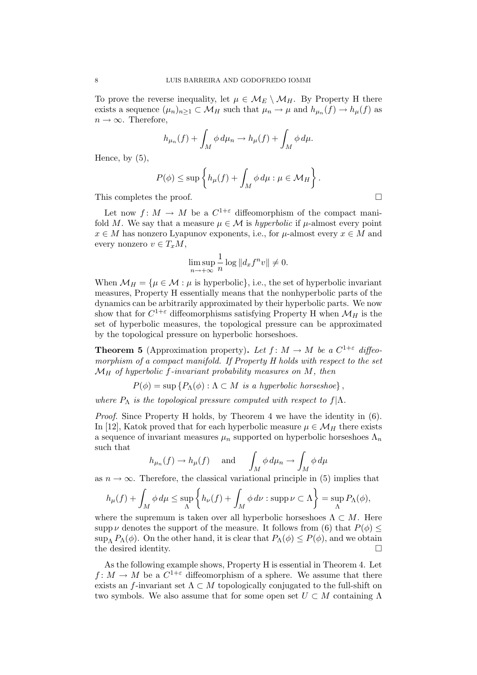To prove the reverse inequality, let  $\mu \in \mathcal{M}_E \setminus \mathcal{M}_H$ . By Property H there exists a sequence  $(\mu_n)_{n\geq 1} \subset \mathcal{M}_H$  such that  $\mu_n \to \mu$  and  $h_{\mu_n}(f) \to h_{\mu}(f)$  as  $n \to \infty$ . Therefore,

$$
h_{\mu_n}(f) + \int_M \phi \, d\mu_n \to h_\mu(f) + \int_M \phi \, d\mu.
$$

Hence, by  $(5)$ ,

$$
P(\phi) \leq \sup \left\{ h_{\mu}(f) + \int_M \phi \, d\mu : \mu \in \mathcal{M}_H \right\}.
$$

This completes the proof.  $\Box$ 

Let now  $f: M \to M$  be a  $C^{1+\varepsilon}$  diffeomorphism of the compact manifold M. We say that a measure  $\mu \in \mathcal{M}$  is hyperbolic if  $\mu$ -almost every point  $x \in M$  has nonzero Lyapunov exponents, i.e., for  $\mu$ -almost every  $x \in M$  and every nonzero  $v \in T_xM$ ,

$$
\limsup_{n \to +\infty} \frac{1}{n} \log ||d_x f^n v|| \neq 0.
$$

When  $\mathcal{M}_H = \{ \mu \in \mathcal{M} : \mu \text{ is hyperbolic} \}$ , i.e., the set of hyperbolic invariant measures, Property H essentially means that the nonhyperbolic parts of the dynamics can be arbitrarily approximated by their hyperbolic parts. We now show that for  $C^{1+\varepsilon}$  diffeomorphisms satisfying Property H when  $\mathcal{M}_H$  is the set of hyperbolic measures, the topological pressure can be approximated by the topological pressure on hyperbolic horseshoes.

**Theorem 5** (Approximation property). Let  $f: M \to M$  be a  $C^{1+\varepsilon}$  diffeomorphism of a compact manifold. If Property H holds with respect to the set  $\mathcal{M}_H$  of hyperbolic f-invariant probability measures on M, then

$$
P(\phi) = \sup \{ P_{\Lambda}(\phi) : \Lambda \subset M \text{ is a hyperbolic horse} \},
$$

where  $P_{\Lambda}$  is the topological pressure computed with respect to  $f|\Lambda$ .

Proof. Since Property H holds, by Theorem 4 we have the identity in  $(6)$ . In [12], Katok proved that for each hyperbolic measure  $\mu \in \mathcal{M}_H$  there exists a sequence of invariant measures  $\mu_n$  supported on hyperbolic horseshoes  $\Lambda_n$ such that

$$
h_{\mu_n}(f) \to h_{\mu}(f)
$$
 and  $\int_M \phi \, d\mu_n \to \int_M \phi \, d\mu$ 

as  $n \to \infty$ . Therefore, the classical variational principle in (5) implies that

$$
h_{\mu}(f) + \int_M \phi \, d\mu \le \sup_{\Lambda} \left\{ h_{\nu}(f) + \int_M \phi \, d\nu : \operatorname{supp} \nu \subset \Lambda \right\} = \sup_{\Lambda} P_{\Lambda}(\phi),
$$

where the supremum is taken over all hyperbolic horseshoes  $\Lambda \subset M$ . Here supp  $\nu$  denotes the support of the measure. It follows from (6) that  $P(\phi) \leq$  $\sup_{\Lambda} P_{\Lambda}(\phi)$ . On the other hand, it is clear that  $P_{\Lambda}(\phi) \leq P(\phi)$ , and we obtain the desired identity.

As the following example shows, Property H is essential in Theorem 4. Let  $f: M \to M$  be a  $C^{1+\varepsilon}$  diffeomorphism of a sphere. We assume that there exists an f-invariant set  $\Lambda \subset M$  topologically conjugated to the full-shift on two symbols. We also assume that for some open set  $U \subset M$  containing  $\Lambda$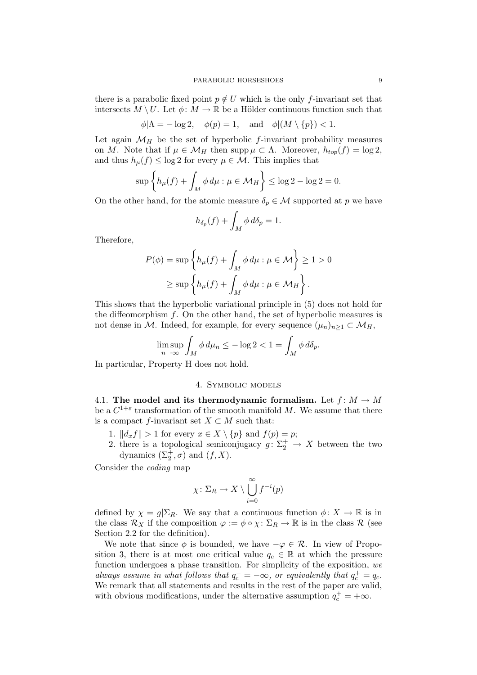there is a parabolic fixed point  $p \notin U$  which is the only f-invariant set that intersects  $M \setminus U$ . Let  $\phi \colon M \to \mathbb{R}$  be a Hölder continuous function such that

$$
\phi|\Lambda = -\log 2
$$
,  $\phi(p) = 1$ , and  $\phi|(M \setminus \{p\}) < 1$ .

Let again  $\mathcal{M}_H$  be the set of hyperbolic f-invariant probability measures on M. Note that if  $\mu \in \mathcal{M}_H$  then supp  $\mu \subset \Lambda$ . Moreover,  $h_{top}(f) = \log 2$ , and thus  $h_{\mu}(f) \leq \log 2$  for every  $\mu \in \mathcal{M}$ . This implies that

$$
\sup \left\{ h_{\mu}(f) + \int_M \phi \, d\mu : \mu \in \mathcal{M}_H \right\} \le \log 2 - \log 2 = 0.
$$

On the other hand, for the atomic measure  $\delta_p \in \mathcal{M}$  supported at p we have

$$
h_{\delta_p}(f) + \int_M \phi \, d\delta_p = 1.
$$

Therefore,

$$
P(\phi) = \sup \left\{ h_{\mu}(f) + \int_{M} \phi \, d\mu : \mu \in \mathcal{M} \right\} \ge 1 > 0
$$
  
 
$$
\ge \sup \left\{ h_{\mu}(f) + \int_{M} \phi \, d\mu : \mu \in \mathcal{M}_{H} \right\}.
$$

This shows that the hyperbolic variational principle in (5) does not hold for the diffeomorphism  $f$ . On the other hand, the set of hyperbolic measures is not dense in M. Indeed, for example, for every sequence  $(\mu_n)_{n\geq 1} \subset \mathcal{M}_H$ ,

$$
\limsup_{n \to \infty} \int_M \phi \, d\mu_n \le -\log 2 < 1 = \int_M \phi \, d\delta_p.
$$

In particular, Property H does not hold.

### 4. Symbolic models

4.1. The model and its thermodynamic formalism. Let  $f: M \to M$ be a  $C^{1+\varepsilon}$  transformation of the smooth manifold M. We assume that there is a compact f-invariant set  $X \subset M$  such that:

- 1.  $||d_x f|| > 1$  for every  $x \in X \setminus \{p\}$  and  $f(p) = p$ ;
- 2. there is a topological semiconjugacy  $g: \Sigma_2^+ \longrightarrow X$  between the two dynamics  $(\Sigma_2^+, \sigma)$  and  $(f, X)$ .

Consider the coding map

$$
\chi\colon \Sigma_R\to X\setminus \bigcup_{i=0}^\infty f^{-i}(p)
$$

defined by  $\chi = g|\Sigma_R$ . We say that a continuous function  $\phi \colon X \to \mathbb{R}$  is in the class  $\mathcal{R}_X$  if the composition  $\varphi := \phi \circ \chi : \Sigma_R \to \mathbb{R}$  is in the class  $\mathcal{R}$  (see Section 2.2 for the definition).

We note that since  $\phi$  is bounded, we have  $-\varphi \in \mathcal{R}$ . In view of Proposition 3, there is at most one critical value  $q_c \in \mathbb{R}$  at which the pressure function undergoes a phase transition. For simplicity of the exposition, we always assume in what follows that  $q_c^- = -\infty$ , or equivalently that  $q_c^+ = q_c$ . We remark that all statements and results in the rest of the paper are valid, with obvious modifications, under the alternative assumption  $q_c^+ = +\infty$ .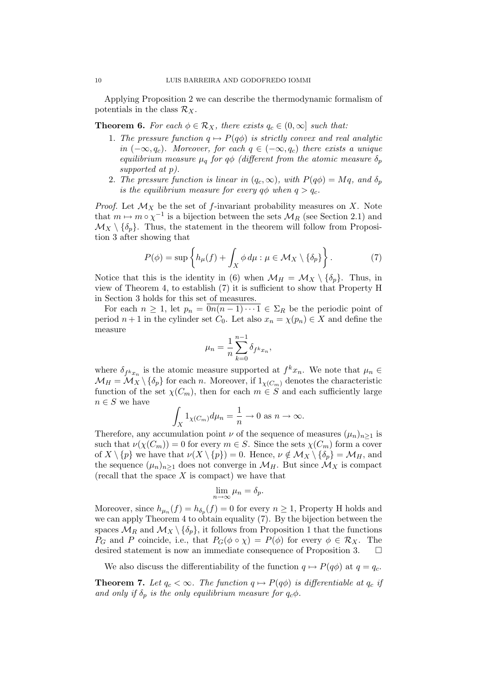Applying Proposition 2 we can describe the thermodynamic formalism of potentials in the class  $\mathcal{R}_X$ .

**Theorem 6.** For each  $\phi \in \mathcal{R}_X$ , there exists  $q_c \in (0,\infty]$  such that:

- 1. The pressure function  $q \mapsto P(q\phi)$  is strictly convex and real analytic in  $(-\infty, q_c)$ . Moreover, for each  $q \in (-\infty, q_c)$  there exists a unique equilibrium measure  $\mu_q$  for  $q\phi$  (different from the atomic measure  $\delta_p$ supported at p).
- 2. The pressure function is linear in  $(q_c, \infty)$ , with  $P(q\phi) = Mq$ , and  $\delta_p$ is the equilibrium measure for every  $q\phi$  when  $q > q_c$ .

*Proof.* Let  $\mathcal{M}_X$  be the set of f-invariant probability measures on X. Note that  $m \mapsto m \circ \chi^{-1}$  is a bijection between the sets  $\mathcal{M}_R$  (see Section 2.1) and  $\mathcal{M}_X \setminus {\delta_n}$ . Thus, the statement in the theorem will follow from Proposition 3 after showing that

$$
P(\phi) = \sup \left\{ h_{\mu}(f) + \int_{X} \phi \, d\mu : \mu \in \mathcal{M}_X \setminus \{\delta_p\} \right\}.
$$
 (7)

Notice that this is the identity in (6) when  $\mathcal{M}_H = \mathcal{M}_X \setminus {\delta_p}$ . Thus, in view of Theorem 4, to establish (7) it is sufficient to show that Property H in Section 3 holds for this set of measures.

For each  $n \geq 1$ , let  $p_n = \overline{0n(n-1)\cdots 1} \in \Sigma_R$  be the periodic point of period  $n+1$  in the cylinder set  $C_0$ . Let also  $x_n = \chi(p_n) \in X$  and define the measure

$$
\mu_n = \frac{1}{n} \sum_{k=0}^{n-1} \delta_{f^k x_n},
$$

where  $\delta_{f^k x_n}$  is the atomic measure supported at  $f^k x_n$ . We note that  $\mu_n \in$  $\mathcal{M}_H = \mathcal{M}_X \setminus \{\delta_p\}$  for each n. Moreover, if  $1_{\chi(C_m)}$  denotes the characteristic function of the set  $\chi(C_m)$ , then for each  $m \in S$  and each sufficiently large  $n \in S$  we have

$$
\int_X 1_{\chi(C_m)} d\mu_n = \frac{1}{n} \to 0 \text{ as } n \to \infty.
$$

Therefore, any accumulation point  $\nu$  of the sequence of measures  $(\mu_n)_{n>1}$  is such that  $\nu(\chi(C_m)) = 0$  for every  $m \in S$ . Since the sets  $\chi(C_m)$  form a cover of  $X \setminus \{p\}$  we have that  $\nu(X \setminus \{p\}) = 0$ . Hence,  $\nu \notin \mathcal{M}_X \setminus \{\delta_p\} = \mathcal{M}_H$ , and the sequence  $(\mu_n)_{n\geq 1}$  does not converge in  $\mathcal{M}_H$ . But since  $\mathcal{M}_X$  is compact (recall that the space  $X$  is compact) we have that

$$
\lim_{n \to \infty} \mu_n = \delta_p.
$$

Moreover, since  $h_{\mu_n}(f) = h_{\delta_p}(f) = 0$  for every  $n \geq 1$ , Property H holds and we can apply Theorem 4 to obtain equality (7). By the bijection between the spaces  $\mathcal{M}_R$  and  $\mathcal{M}_X \setminus {\delta_p}$ , it follows from Proposition 1 that the functions  $P_G$  and P coincide, i.e., that  $P_G(\phi \circ \chi) = P(\phi)$  for every  $\phi \in \mathcal{R}_X$ . The desired statement is now an immediate consequence of Proposition 3.  $\Box$ 

We also discuss the differentiability of the function  $q \mapsto P(q\phi)$  at  $q = q_c$ .

**Theorem 7.** Let  $q_c < \infty$ . The function  $q \mapsto P(q\phi)$  is differentiable at  $q_c$  if and only if  $\delta_p$  is the only equilibrium measure for  $q_c\phi$ .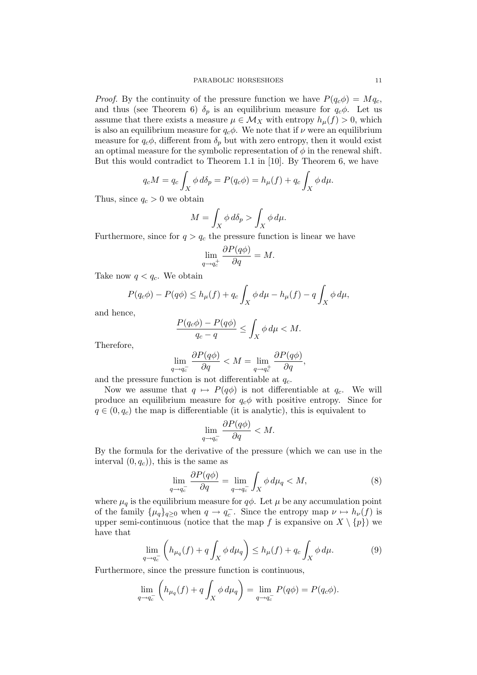*Proof.* By the continuity of the pressure function we have  $P(q_c\phi) = Mq_c$ , and thus (see Theorem 6)  $\delta_p$  is an equilibrium measure for  $q_c\phi$ . Let us assume that there exists a measure  $\mu \in \mathcal{M}_X$  with entropy  $h_\mu(f) > 0$ , which is also an equilibrium measure for  $q_c\phi$ . We note that if  $\nu$  were an equilibrium measure for  $q_c\phi$ , different from  $\delta_p$  but with zero entropy, then it would exist an optimal measure for the symbolic representation of  $\phi$  in the renewal shift. But this would contradict to Theorem 1.1 in [10]. By Theorem 6, we have

$$
q_c M = q_c \int_X \phi \, d\delta_p = P(q_c \phi) = h_\mu(f) + q_c \int_X \phi \, d\mu.
$$

Thus, since  $q_c > 0$  we obtain

$$
M = \int_X \phi \, d\delta_p > \int_X \phi \, d\mu.
$$

Furthermore, since for  $q > q_c$  the pressure function is linear we have

$$
\lim_{q \to q_c^+} \frac{\partial P(q\phi)}{\partial q} = M.
$$

Take now  $q < q_c$ . We obtain

$$
P(q_c\phi) - P(q\phi) \le h_{\mu}(f) + q_c \int_X \phi \, d\mu - h_{\mu}(f) - q \int_X \phi \, d\mu,
$$

and hence,

$$
\frac{P(q_c\phi) - P(q\phi)}{q_c - q} \le \int_X \phi \, d\mu < M.
$$

Therefore,

$$
\lim_{q \to q_c^-} \frac{\partial P(q\phi)}{\partial q} < M = \lim_{q \to q_c^+} \frac{\partial P(q\phi)}{\partial q},
$$

and the pressure function is not differentiable at  $q_c$ .

Now we assume that  $q \mapsto P(q\phi)$  is not differentiable at  $q_c$ . We will produce an equilibrium measure for  $q_c\phi$  with positive entropy. Since for  $q \in (0, q_c)$  the map is differentiable (it is analytic), this is equivalent to

$$
\lim_{q \to q_c^-} \frac{\partial P(q\phi)}{\partial q} < M.
$$

By the formula for the derivative of the pressure (which we can use in the interval  $(0, q_c)$ , this is the same as

$$
\lim_{q \to q_c^-} \frac{\partial P(q\phi)}{\partial q} = \lim_{q \to q_c^-} \int_X \phi \, d\mu_q < M,\tag{8}
$$

where  $\mu_q$  is the equilibrium measure for  $q\phi$ . Let  $\mu$  be any accumulation point of the family  $\{\mu_q\}_{q\geq 0}$  when  $q \to q_c^-$ . Since the entropy map  $\nu \mapsto h_\nu(f)$  is upper semi-continuous (notice that the map f is expansive on  $X \setminus \{p\}$ ) we have that

$$
\lim_{q \to q_c^-} \left( h_{\mu_q}(f) + q \int_X \phi \, d\mu_q \right) \le h_{\mu}(f) + q_c \int_X \phi \, d\mu. \tag{9}
$$

Furthermore, since the pressure function is continuous,

$$
\lim_{q \to q_c^-} \left( h_{\mu_q}(f) + q \int_X \phi \, d\mu_q \right) = \lim_{q \to q_c^-} P(q\phi) = P(q_c\phi).
$$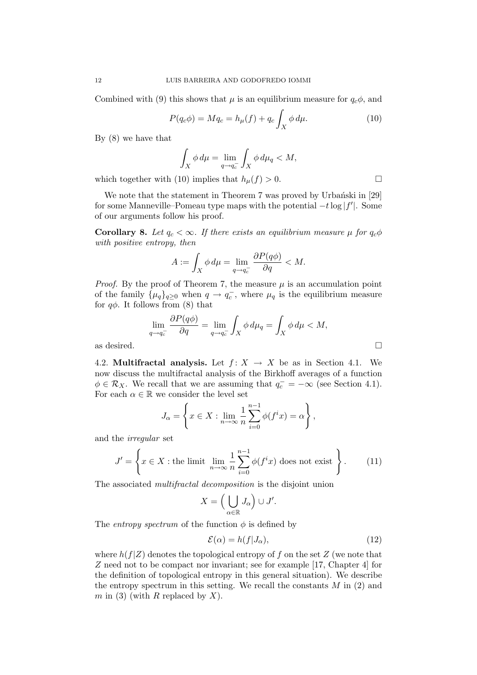Combined with (9) this shows that  $\mu$  is an equilibrium measure for  $q_c\phi$ , and

$$
P(q_c\phi) = Mq_c = h_\mu(f) + q_c \int_X \phi \, d\mu. \tag{10}
$$

By (8) we have that

$$
\int_X \phi \, d\mu = \lim_{q \to q_c^-} \int_X \phi \, d\mu_q < M,
$$

which together with (10) implies that  $h_{\mu}(f) > 0$ .

We note that the statement in Theorem 7 was proved by Urbanski in [29] for some Manneville–Pomeau type maps with the potential  $-t \log |f'|$ . Some of our arguments follow his proof.

Corollary 8. Let  $q_c < \infty$ . If there exists an equilibrium measure  $\mu$  for  $q_c\phi$ with positive entropy, then

$$
A := \int_X \phi \, d\mu = \lim_{q \to q_c^-} \frac{\partial P(q\phi)}{\partial q} < M.
$$

*Proof.* By the proof of Theorem 7, the measure  $\mu$  is an accumulation point of the family  $\{\mu_q\}_{q\geq 0}$  when  $q \to q_c^-$ , where  $\mu_q$  is the equilibrium measure for  $q\phi$ . It follows from (8) that

$$
\lim_{q \to q_c^-} \frac{\partial P(q\phi)}{\partial q} = \lim_{q \to q_c^-} \int_X \phi \, d\mu_q = \int_X \phi \, d\mu < M,
$$
 as desired.

4.2. Multifractal analysis. Let  $f: X \to X$  be as in Section 4.1. We now discuss the multifractal analysis of the Birkhoff averages of a function  $\phi \in \mathcal{R}_X$ . We recall that we are assuming that  $q_c^- = -\infty$  (see Section 4.1). For each  $\alpha \in \mathbb{R}$  we consider the level set

$$
J_{\alpha} = \left\{ x \in X : \lim_{n \to \infty} \frac{1}{n} \sum_{i=0}^{n-1} \phi(f^i x) = \alpha \right\},\,
$$

and the irregular set

$$
J' = \left\{ x \in X : \text{the limit } \lim_{n \to \infty} \frac{1}{n} \sum_{i=0}^{n-1} \phi(f^i x) \text{ does not exist } \right\}.
$$
 (11)

The associated multifractal decomposition is the disjoint union

$$
X = \left(\bigcup_{\alpha \in \mathbb{R}} J_{\alpha}\right) \cup J'.
$$

The entropy spectrum of the function  $\phi$  is defined by

$$
\mathcal{E}(\alpha) = h(f|J_{\alpha}),\tag{12}
$$

where  $h(f|Z)$  denotes the topological entropy of f on the set Z (we note that Z need not to be compact nor invariant; see for example [17, Chapter 4] for the definition of topological entropy in this general situation). We describe the entropy spectrum in this setting. We recall the constants  $M$  in  $(2)$  and m in (3) (with R replaced by X).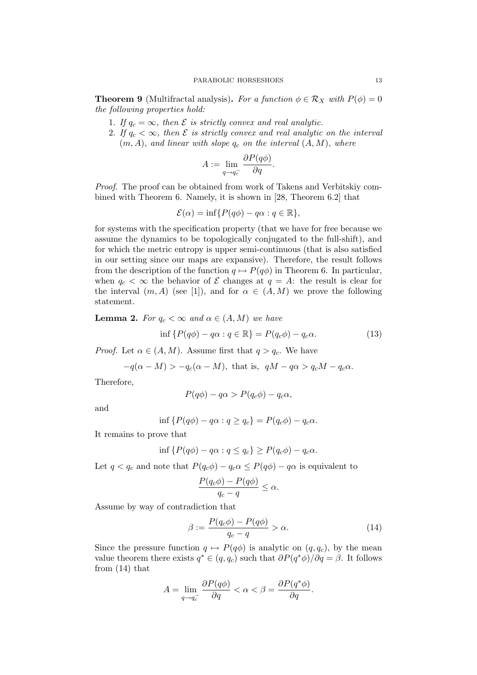**Theorem 9** (Multifractal analysis). For a function  $\phi \in \mathcal{R}_X$  with  $P(\phi) = 0$ the following properties hold:

- 1. If  $q_c = \infty$ , then  $\mathcal E$  is strictly convex and real analytic.
- 2. If  $q_c < \infty$ , then  $\mathcal E$  is strictly convex and real analytic on the interval  $(m, A)$ , and linear with slope  $q_c$  on the interval  $(A, M)$ , where

$$
A := \lim_{q \to q_c^-} \frac{\partial P(q\phi)}{\partial q}.
$$

Proof. The proof can be obtained from work of Takens and Verbitskiy combined with Theorem 6. Namely, it is shown in [28, Theorem 6.2] that

$$
\mathcal{E}(\alpha) = \inf \{ P(q\phi) - q\alpha : q \in \mathbb{R} \},\
$$

for systems with the specification property (that we have for free because we assume the dynamics to be topologically conjugated to the full-shift), and for which the metric entropy is upper semi-continuous (that is also satisfied in our setting since our maps are expansive). Therefore, the result follows from the description of the function  $q \mapsto P(q\phi)$  in Theorem 6. In particular, when  $q_c < \infty$  the behavior of E changes at  $q = A$ : the result is clear for the interval  $(m, A)$  (see [1]), and for  $\alpha \in (A, M)$  we prove the following statement.

**Lemma 2.** For  $q_c < \infty$  and  $\alpha \in (A, M)$  we have

$$
\inf \{ P(q\phi) - q\alpha : q \in \mathbb{R} \} = P(q_c \phi) - q_c \alpha.
$$
 (13)

*Proof.* Let  $\alpha \in (A, M)$ . Assume first that  $q > q_c$ . We have

$$
-q(\alpha - M) > -q_c(\alpha - M), \text{ that is, } qM - q\alpha > q_cM - q_c\alpha.
$$

Therefore,

$$
P(q\phi) - q\alpha > P(q_c\phi) - q_c\alpha,
$$

and

$$
\inf \{ P(q\phi) - q\alpha : q \ge q_c \} = P(q_c\phi) - q_c\alpha.
$$

It remains to prove that

$$
\inf \{ P(q\phi) - q\alpha : q \le q_c \} \ge P(q_c\phi) - q_c\alpha.
$$

Let  $q < q_c$  and note that  $P(q_c\phi) - q_c\alpha \leq P(q\phi) - q\alpha$  is equivalent to

$$
\frac{P(q_c\phi) - P(q\phi)}{q_c - q} \le \alpha.
$$

Assume by way of contradiction that

$$
\beta := \frac{P(q_c \phi) - P(q\phi)}{q_c - q} > \alpha.
$$
\n(14)

Since the pressure function  $q \mapsto P(q\phi)$  is analytic on  $(q, q_c)$ , by the mean value theorem there exists  $q^* \in (q, q_c)$  such that  $\partial P(q^*\phi)/\partial q = \beta$ . It follows from (14) that

$$
A = \lim_{q \to q_c^-} \frac{\partial P(q\phi)}{\partial q} < \alpha < \beta = \frac{\partial P(q^*\phi)}{\partial q}.
$$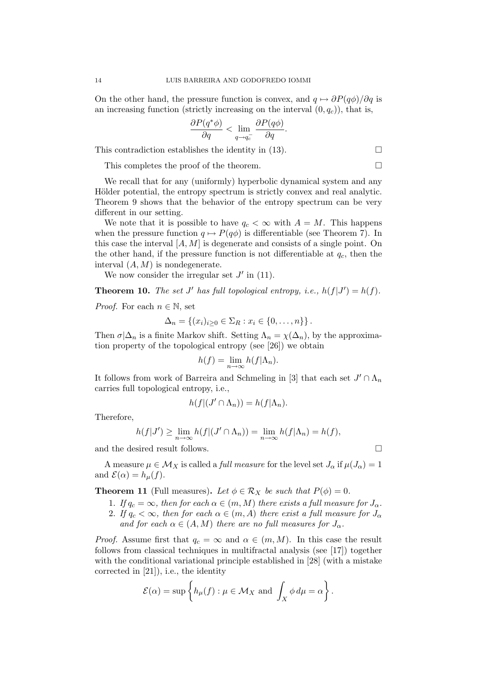On the other hand, the pressure function is convex, and  $q \mapsto \frac{\partial P(q\phi)}{\partial q}$  is an increasing function (strictly increasing on the interval  $(0, q_c)$ ), that is,

$$
\frac{\partial P(q^*\phi)}{\partial q} < \lim_{q \to q_c^-} \frac{\partial P(q\phi)}{\partial q}.
$$

This contradiction establishes the identity in  $(13)$ .

This completes the proof of the theorem.

We recall that for any (uniformly) hyperbolic dynamical system and any Hölder potential, the entropy spectrum is strictly convex and real analytic. Theorem 9 shows that the behavior of the entropy spectrum can be very different in our setting.

We note that it is possible to have  $q_c < \infty$  with  $A = M$ . This happens when the pressure function  $q \mapsto P(q\phi)$  is differentiable (see Theorem 7). In this case the interval  $[A, M]$  is degenerate and consists of a single point. On the other hand, if the pressure function is not differentiable at  $q_c$ , then the interval  $(A, M)$  is nondegenerate.

We now consider the irregular set  $J'$  in (11).

**Theorem 10.** The set  $J'$  has full topological entropy, i.e.,  $h(f|J') = h(f)$ .

*Proof.* For each  $n \in \mathbb{N}$ , set

$$
\Delta_n = \{(x_i)_{i \geq 0} \in \Sigma_R : x_i \in \{0, \ldots, n\}\}.
$$

Then  $\sigma|\Delta_n$  is a finite Markov shift. Setting  $\Lambda_n = \chi(\Delta_n)$ , by the approximation property of the topological entropy (see [26]) we obtain

$$
h(f) = \lim_{n \to \infty} h(f|\Lambda_n).
$$

It follows from work of Barreira and Schmeling in [3] that each set  $J' \cap \Lambda_n$ carries full topological entropy, i.e.,

$$
h(f|(J'\cap\Lambda_n))=h(f|\Lambda_n).
$$

Therefore,

$$
h(f|J') \geq \lim_{n \to \infty} h(f|(J' \cap \Lambda_n)) = \lim_{n \to \infty} h(f|\Lambda_n) = h(f),
$$

and the desired result follows.  $\hfill \square$ 

A measure  $\mu \in \mathcal{M}_X$  is called a *full measure* for the level set  $J_\alpha$  if  $\mu(J_\alpha) = 1$ and  $\mathcal{E}(\alpha) = h_{\mu}(f)$ .

**Theorem 11** (Full measures). Let  $\phi \in \mathcal{R}_X$  be such that  $P(\phi) = 0$ .

- 1. If  $q_c = \infty$ , then for each  $\alpha \in (m, M)$  there exists a full measure for  $J_{\alpha}$ .
- 2. If  $q_c < \infty$ , then for each  $\alpha \in (m, A)$  there exist a full measure for  $J_{\alpha}$ and for each  $\alpha \in (A, M)$  there are no full measures for  $J_{\alpha}$ .

*Proof.* Assume first that  $q_c = \infty$  and  $\alpha \in (m, M)$ . In this case the result follows from classical techniques in multifractal analysis (see [17]) together with the conditional variational principle established in [28] (with a mistake corrected in [21]), i.e., the identity

$$
\mathcal{E}(\alpha) = \sup \left\{ h_{\mu}(f) : \mu \in \mathcal{M}_X \text{ and } \int_X \phi \, d\mu = \alpha \right\}.
$$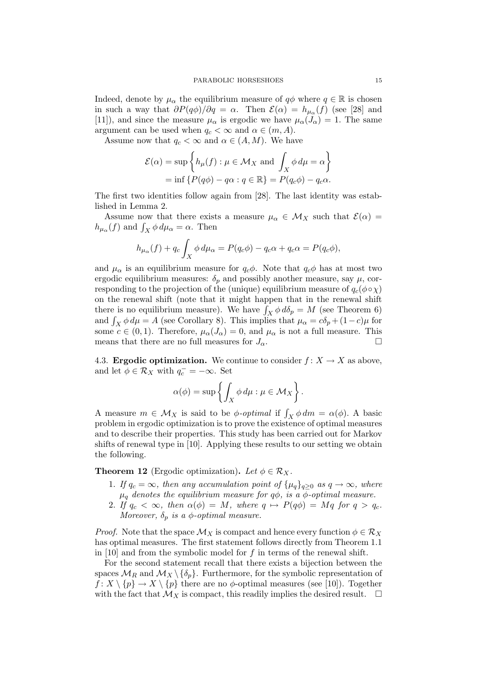Indeed, denote by  $\mu_{\alpha}$  the equilibrium measure of  $q\phi$  where  $q \in \mathbb{R}$  is chosen in such a way that  $\partial P(q\phi)/\partial q = \alpha$ . Then  $\mathcal{E}(\alpha) = h_{\mu_{\alpha}}(f)$  (see [28] and [11]), and since the measure  $\mu_{\alpha}$  is ergodic we have  $\mu_{\alpha}(J_{\alpha})=1$ . The same argument can be used when  $q_c < \infty$  and  $\alpha \in (m, A)$ .

Assume now that  $q_c < \infty$  and  $\alpha \in (A, M)$ . We have

$$
\mathcal{E}(\alpha) = \sup \left\{ h_{\mu}(f) : \mu \in \mathcal{M}_X \text{ and } \int_X \phi \, d\mu = \alpha \right\}
$$

$$
= \inf \left\{ P(q\phi) - q\alpha : q \in \mathbb{R} \right\} = P(q_c\phi) - q_c\alpha.
$$

The first two identities follow again from [28]. The last identity was established in Lemma 2.

Assume now that there exists a measure  $\mu_{\alpha} \in M_X$  such that  $\mathcal{E}(\alpha) =$  $h_{\mu_{\alpha}}(f)$  and  $\int_{X} \phi \, d\mu_{\alpha} = \alpha$ . Then

$$
h_{\mu_{\alpha}}(f) + q_c \int_X \phi \, d\mu_{\alpha} = P(q_c \phi) - q_c \alpha + q_c \alpha = P(q_c \phi),
$$

and  $\mu_{\alpha}$  is an equilibrium measure for  $q_c\phi$ . Note that  $q_c\phi$  has at most two ergodic equilibrium measures:  $\delta_p$  and possibly another measure, say  $\mu$ , corresponding to the projection of the (unique) equilibrium measure of  $q_c(\phi \circ \chi)$ on the renewal shift (note that it might happen that in the renewal shift there is no equilibrium measure). We have  $\int_X \phi \, d\delta_p = M$  (see Theorem 6) and  $\int_X \phi \, d\mu = A$  (see Corollary 8). This implies that  $\mu_\alpha = c\delta_p + (1-c)\mu$  for some  $c \in (0, 1)$ . Therefore,  $\mu_{\alpha}(J_{\alpha}) = 0$ , and  $\mu_{\alpha}$  is not a full measure. This means that there are no full measures for  $J_{\alpha}$ .

4.3. Ergodic optimization. We continue to consider  $f: X \to X$  as above, and let  $\phi \in \mathcal{R}_X$  with  $q_c^- = -\infty$ . Set

$$
\alpha(\phi) = \sup \left\{ \int_X \phi \, d\mu : \mu \in \mathcal{M}_X \right\}.
$$

A measure  $m \in \mathcal{M}_X$  is said to be  $\phi$ -optimal if  $\int_X \phi dm = \alpha(\phi)$ . A basic problem in ergodic optimization is to prove the existence of optimal measures and to describe their properties. This study has been carried out for Markov shifts of renewal type in [10]. Applying these results to our setting we obtain the following.

**Theorem 12** (Ergodic optimization). Let  $\phi \in \mathcal{R}_X$ .

- 1. If  $q_c = \infty$ , then any accumulation point of  $\{\mu_q\}_{q>0}$  as  $q \to \infty$ , where  $\mu_q$  denotes the equilibrium measure for  $q\phi$ , is a  $\phi$ -optimal measure.
- 2. If  $q_c < \infty$ , then  $\alpha(\phi) = M$ , where  $q \mapsto P(q\phi) = Mq$  for  $q > q_c$ . Moreover,  $\delta_p$  is a  $\phi$ -optimal measure.

*Proof.* Note that the space  $\mathcal{M}_X$  is compact and hence every function  $\phi \in \mathcal{R}_X$ has optimal measures. The first statement follows directly from Theorem 1.1 in [10] and from the symbolic model for  $f$  in terms of the renewal shift.

For the second statement recall that there exists a bijection between the spaces  $\mathcal{M}_R$  and  $\mathcal{M}_X \setminus {\delta_p}$ . Furthermore, for the symbolic representation of  $f: X \setminus \{p\} \to X \setminus \{p\}$  there are no  $\phi$ -optimal measures (see [10]). Together with the fact that  $\mathcal{M}_X$  is compact, this readily implies the desired result.  $\Box$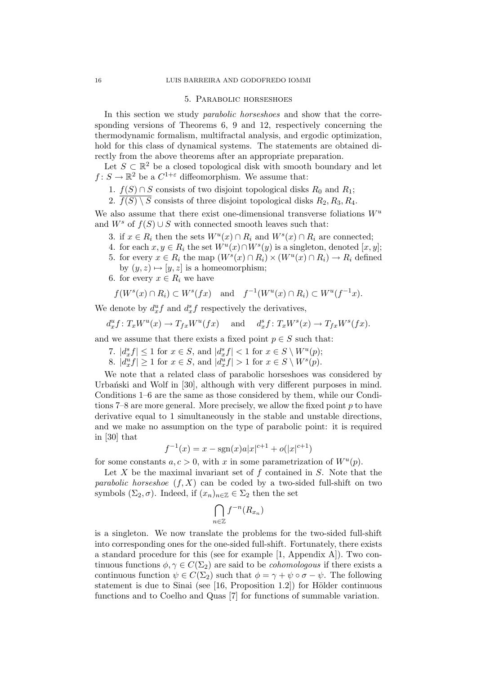#### 5. Parabolic horseshoes

In this section we study *parabolic horseshoes* and show that the corresponding versions of Theorems 6, 9 and 12, respectively concerning the thermodynamic formalism, multifractal analysis, and ergodic optimization, hold for this class of dynamical systems. The statements are obtained directly from the above theorems after an appropriate preparation.

Let  $S \subset \mathbb{R}^2$  be a closed topological disk with smooth boundary and let  $f: S \to \mathbb{R}^2$  be a  $C^{1+\varepsilon}$  diffeomorphism. We assume that:

- 1.  $f(S) \cap S$  consists of two disjoint topological disks  $R_0$  and  $R_1$ ;
- 2.  $\overline{f(S) \setminus S}$  consists of three disjoint topological disks  $R_2, R_3, R_4$ .

We also assume that there exist one-dimensional transverse foliations  $W^u$ and  $W^s$  of  $f(S) \cup S$  with connected smooth leaves such that:

- 3. if  $x \in R_i$  then the sets  $W^u(x) \cap R_i$  and  $W^s(x) \cap R_i$  are connected;
- 4. for each  $x, y \in R_i$  the set  $W^u(x) \cap W^s(y)$  is a singleton, denoted  $[x, y]$ ;
- 5. for every  $x \in R_i$  the map  $(W^s(x) \cap R_i) \times (W^u(x) \cap R_i) \to R_i$  defined by  $(y, z) \mapsto [y, z]$  is a homeomorphism;
- 6. for every  $x \in R_i$  we have

$$
f(W^s(x) \cap R_i) \subset W^s(fx) \quad \text{and} \quad f^{-1}(W^u(x) \cap R_i) \subset W^u(f^{-1}x).
$$

We denote by  $d_x^u f$  and  $d_x^s f$  respectively the derivatives,

$$
d^u_xf\colon T_xW^u(x)\to T_{fx}W^u(fx)\quad\text{ and }\quad d^s_xf\colon T_xW^s(x)\to T_{fx}W^s(fx).
$$

and we assume that there exists a fixed point  $p \in S$  such that:

- 7.  $|d_x^s f| \leq 1$  for  $x \in S$ , and  $|d_x^s f| < 1$  for  $x \in S \setminus W^u(p)$ ;
- 8.  $|d_x^u f| \ge 1$  for  $x \in S$ , and  $|d_x^u f| > 1$  for  $x \in S \setminus W^s(p)$ .

We note that a related class of parabolic horseshoes was considered by Urbanski and Wolf in [30], although with very different purposes in mind. Conditions 1–6 are the same as those considered by them, while our Conditions  $7-8$  are more general. More precisely, we allow the fixed point p to have derivative equal to 1 simultaneously in the stable and unstable directions, and we make no assumption on the type of parabolic point: it is required in [30] that

$$
f^{-1}(x) = x - \text{sgn}(x)a|x|^{c+1} + o(|x|^{c+1})
$$

for some constants  $a, c > 0$ , with x in some parametrization of  $W^u(p)$ .

Let  $X$  be the maximal invariant set of  $f$  contained in  $S$ . Note that the *parabolic horseshoe*  $(f, X)$  can be coded by a two-sided full-shift on two symbols  $(\Sigma_2, \sigma)$ . Indeed, if  $(x_n)_{n \in \mathbb{Z}} \in \Sigma_2$  then the set

$$
\bigcap_{n\in\mathbb{Z}}f^{-n}(R_{x_n})
$$

is a singleton. We now translate the problems for the two-sided full-shift into corresponding ones for the one-sided full-shift. Fortunately, there exists a standard procedure for this (see for example [1, Appendix A]). Two continuous functions  $\phi, \gamma \in C(\Sigma_2)$  are said to be *cohomologous* if there exists a continuous function  $\psi \in C(\Sigma_2)$  such that  $\phi = \gamma + \psi \circ \sigma - \psi$ . The following statement is due to Sinai (see  $[16,$  Proposition 1.2]) for Hölder continuous functions and to Coelho and Quas [7] for functions of summable variation.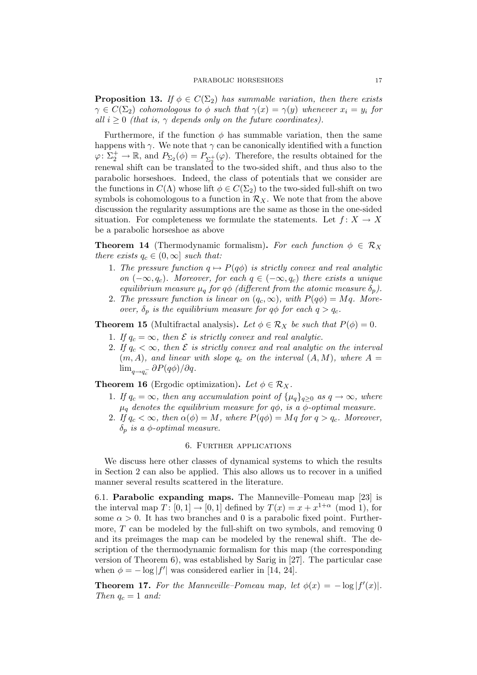**Proposition 13.** If  $\phi \in C(\Sigma_2)$  has summable variation, then there exists  $\gamma \in C(\Sigma_2)$  cohomologous to  $\phi$  such that  $\gamma(x) = \gamma(y)$  whenever  $x_i = y_i$  for all  $i \geq 0$  (that is,  $\gamma$  depends only on the future coordinates).

Furthermore, if the function  $\phi$  has summable variation, then the same happens with  $\gamma$ . We note that  $\gamma$  can be canonically identified with a function  $\varphi: \Sigma_2^+ \to \mathbb{R}$ , and  $P_{\Sigma_2}(\phi) = P_{\Sigma_2^+}(\varphi)$ . Therefore, the results obtained for the renewal shift can be translated to the two-sided shift, and thus also to the parabolic horseshoes. Indeed, the class of potentials that we consider are the functions in  $C(\Lambda)$  whose lift  $\phi \in C(\Sigma_2)$  to the two-sided full-shift on two symbols is cohomologous to a function in  $\mathcal{R}_X$ . We note that from the above discussion the regularity assumptions are the same as those in the one-sided situation. For completeness we formulate the statements. Let  $f: X \to X$ be a parabolic horseshoe as above

**Theorem 14** (Thermodynamic formalism). For each function  $\phi \in \mathcal{R}_X$ there exists  $q_c \in (0,\infty]$  such that:

- 1. The pressure function  $q \mapsto P(q\phi)$  is strictly convex and real analytic on  $(-\infty, q_c)$ . Moreover, for each  $q \in (-\infty, q_c)$  there exists a unique equilibrium measure  $\mu_q$  for  $q\phi$  (different from the atomic measure  $\delta_p$ ).
- 2. The pressure function is linear on  $(q_c, \infty)$ , with  $P(q\phi) = Mq$ . Moreover,  $\delta_p$  is the equilibrium measure for  $q\phi$  for each  $q > q_c$ .

**Theorem 15** (Multifractal analysis). Let  $\phi \in \mathcal{R}_X$  be such that  $P(\phi) = 0$ .

- 1. If  $q_c = \infty$ , then  $\mathcal E$  is strictly convex and real analytic.
- 2. If  $q_c < \infty$ , then  $\mathcal E$  is strictly convex and real analytic on the interval  $(m, A)$ , and linear with slope  $q_c$  on the interval  $(A, M)$ , where  $A =$  $\lim_{q \to q_c^-} \partial P(q\phi) / \partial q$ .

**Theorem 16** (Ergodic optimization). Let  $\phi \in \mathcal{R}_X$ .

- 1. If  $q_c = \infty$ , then any accumulation point of  $\{\mu_q\}_{q\geq 0}$  as  $q \to \infty$ , where  $\mu_q$  denotes the equilibrium measure for  $q\phi$ , is a  $\phi$ -optimal measure.
- 2. If  $q_c < \infty$ , then  $\alpha(\phi) = M$ , where  $P(q\phi) = Mq$  for  $q > q_c$ . Moreover,  $\delta_p$  is a  $\phi$ -optimal measure.

## 6. Further applications

We discuss here other classes of dynamical systems to which the results in Section 2 can also be applied. This also allows us to recover in a unified manner several results scattered in the literature.

6.1. Parabolic expanding maps. The Manneville–Pomeau map [23] is the interval map  $T: [0,1] \to [0,1]$  defined by  $T(x) = x + x^{1+\alpha} \pmod{1}$ , for some  $\alpha > 0$ . It has two branches and 0 is a parabolic fixed point. Furthermore,  $T$  can be modeled by the full-shift on two symbols, and removing 0 and its preimages the map can be modeled by the renewal shift. The description of the thermodynamic formalism for this map (the corresponding version of Theorem 6), was established by Sarig in [27]. The particular case when  $\phi = -\log|f'|$  was considered earlier in [14, 24].

**Theorem 17.** For the Manneville–Pomeau map, let  $\phi(x) = -\log|f'(x)|$ . Then  $q_c = 1$  and: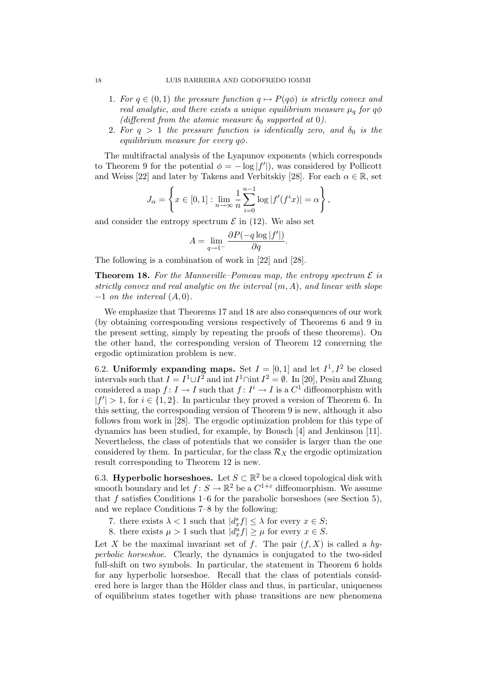- 1. For  $q \in (0,1)$  the pressure function  $q \mapsto P(q\phi)$  is strictly convex and real analytic, and there exists a unique equilibrium measure  $\mu_q$  for  $q\phi$ (different from the atomic measure  $\delta_0$  supported at 0).
- 2. For  $q > 1$  the pressure function is identically zero, and  $\delta_0$  is the equilibrium measure for every  $q\phi$ .

The multifractal analysis of the Lyapunov exponents (which corresponds to Theorem 9 for the potential  $\phi = -\log|f'|$ , was considered by Pollicott and Weiss [22] and later by Takens and Verbitskiy [28]. For each  $\alpha \in \mathbb{R}$ , set

$$
J_{\alpha} = \left\{ x \in [0, 1] : \lim_{n \to \infty} \frac{1}{n} \sum_{i=0}^{n-1} \log |f'(f^{i} x)| = \alpha \right\},\,
$$

and consider the entropy spectrum  $\mathcal E$  in (12). We also set

$$
A = \lim_{q \to 1^{-}} \frac{\partial P(-q \log |f'|)}{\partial q}.
$$

The following is a combination of work in [22] and [28].

**Theorem 18.** For the Manneville–Pomeau map, the entropy spectrum  $\mathcal{E}$  is strictly convex and real analytic on the interval  $(m, A)$ , and linear with slope  $-1$  on the interval  $(A, 0)$ .

We emphasize that Theorems 17 and 18 are also consequences of our work (by obtaining corresponding versions respectively of Theorems 6 and 9 in the present setting, simply by repeating the proofs of these theorems). On the other hand, the corresponding version of Theorem 12 concerning the ergodic optimization problem is new.

6.2. Uniformly expanding maps. Set  $I = [0, 1]$  and let  $I^1, I^2$  be closed intervals such that  $I = I^1 \cup I^2$  and int  $I^1 \cap \text{int } I^2 = \emptyset$ . In [20], Pesin and Zhang considered a map  $f: I \to I$  such that  $f: I^i \to I$  is a  $C^1$  diffeomorphism with  $|f'| > 1$ , for  $i \in \{1, 2\}$ . In particular they proved a version of Theorem 6. In this setting, the corresponding version of Theorem 9 is new, although it also follows from work in [28]. The ergodic optimization problem for this type of dynamics has been studied, for example, by Bousch [4] and Jenkinson [11]. Nevertheless, the class of potentials that we consider is larger than the one considered by them. In particular, for the class  $\mathcal{R}_X$  the ergodic optimization result corresponding to Theorem 12 is new.

6.3. Hyperbolic horseshoes. Let  $S \subset \mathbb{R}^2$  be a closed topological disk with smooth boundary and let  $f: S \to \mathbb{R}^2$  be a  $C^{1+\varepsilon}$  diffeomorphism. We assume that f satisfies Conditions 1–6 for the parabolic horseshoes (see Section 5), and we replace Conditions 7–8 by the following:

- 7. there exists  $\lambda < 1$  such that  $|d_x^s f| \leq \lambda$  for every  $x \in S$ ;
- 8. there exists  $\mu > 1$  such that  $|d_x^u f| \ge \mu$  for every  $x \in S$ .

Let X be the maximal invariant set of f. The pair  $(f, X)$  is called a hyperbolic horseshoe. Clearly, the dynamics is conjugated to the two-sided full-shift on two symbols. In particular, the statement in Theorem 6 holds for any hyperbolic horseshoe. Recall that the class of potentials considered here is larger than the Hölder class and thus, in particular, uniqueness of equilibrium states together with phase transitions are new phenomena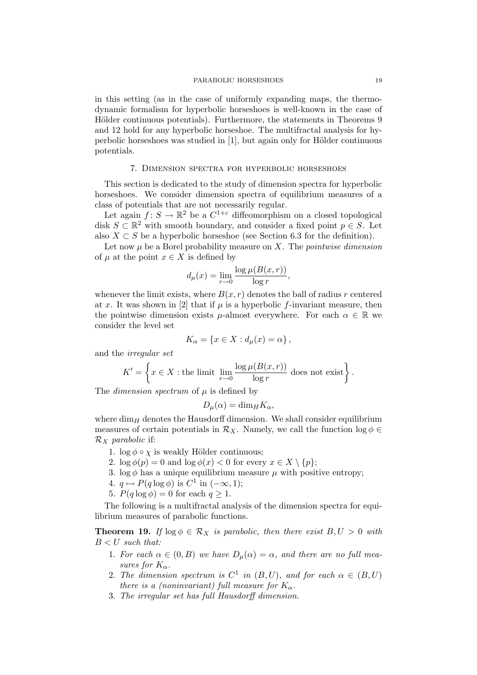#### PARABOLIC HORSESHOES 19

in this setting (as in the case of uniformly expanding maps, the thermodynamic formalism for hyperbolic horseshoes is well-known in the case of Hölder continuous potentials). Furthermore, the statements in Theorems 9 and 12 hold for any hyperbolic horseshoe. The multifractal analysis for hyperbolic horseshoes was studied in  $[1]$ , but again only for Hölder continuous potentials.

### 7. Dimension spectra for hyperbolic horseshoes

This section is dedicated to the study of dimension spectra for hyperbolic horseshoes. We consider dimension spectra of equilibrium measures of a class of potentials that are not necessarily regular.

Let again  $f: S \to \mathbb{R}^2$  be a  $C^{1+\varepsilon}$  diffeomorphism on a closed topological disk  $S \subset \mathbb{R}^2$  with smooth boundary, and consider a fixed point  $p \in S$ . Let also  $X \subset S$  be a hyperbolic horseshoe (see Section 6.3 for the definition).

Let now  $\mu$  be a Borel probability measure on X. The *pointwise dimension* of  $\mu$  at the point  $x \in X$  is defined by

$$
d_{\mu}(x) = \lim_{r \to 0} \frac{\log \mu(B(x, r))}{\log r},
$$

whenever the limit exists, where  $B(x, r)$  denotes the ball of radius r centered at x. It was shown in [2] that if  $\mu$  is a hyperbolic f-invariant measure, then the pointwise dimension exists  $\mu$ -almost everywhere. For each  $\alpha \in \mathbb{R}$  we consider the level set

$$
K_{\alpha} = \{ x \in X : d_{\mu}(x) = \alpha \},
$$

and the irregular set

$$
K' = \left\{ x \in X : \text{the limit } \lim_{r \to 0} \frac{\log \mu(B(x, r))}{\log r} \text{ does not exist} \right\}.
$$

The *dimension spectrum* of  $\mu$  is defined by

$$
D_{\mu}(\alpha) = \mathrm{dim}_{H} K_{\alpha},
$$

where  $\dim_H$  denotes the Hausdorff dimension. We shall consider equilibrium measures of certain potentials in  $\mathcal{R}_X$ . Namely, we call the function  $\log \phi \in$  $\mathcal{R}_X$  parabolic if:

- 1.  $\log \phi \circ \chi$  is weakly Hölder continuous;
- 2.  $\log \phi(p) = 0$  and  $\log \phi(x) < 0$  for every  $x \in X \setminus \{p\};$
- 3.  $\log \phi$  has a unique equilibrium measure  $\mu$  with positive entropy;
- 4.  $q \mapsto P(q \log \phi)$  is  $C^1$  in  $(-\infty, 1)$ ;
- 5.  $P(q \log \phi) = 0$  for each  $q \ge 1$ .

The following is a multifractal analysis of the dimension spectra for equilibrium measures of parabolic functions.

**Theorem 19.** If  $\log \phi \in \mathcal{R}_X$  is parabolic, then there exist  $B, U > 0$  with  $B < U$  such that:

- 1. For each  $\alpha \in (0, B)$  we have  $D_{\mu}(\alpha) = \alpha$ , and there are no full measures for  $K_{\alpha}$ .
- 2. The dimension spectrum is  $C^1$  in  $(B, U)$ , and for each  $\alpha \in (B, U)$ there is a (noninvariant) full measure for  $K_{\alpha}$ .
- 3. The irregular set has full Hausdorff dimension.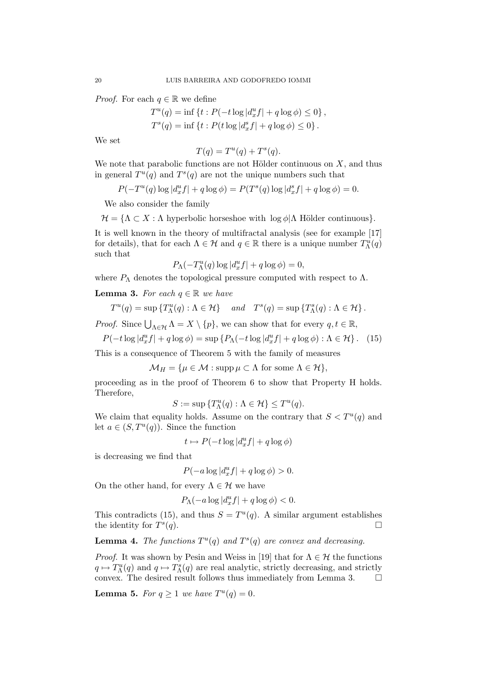*Proof.* For each  $q \in \mathbb{R}$  we define

$$
T^{u}(q) = \inf \{ t : P(-t \log |d_x^u f| + q \log \phi) \le 0 \},
$$
  

$$
T^{s}(q) = \inf \{ t : P(t \log |d_x^s f| + q \log \phi) \le 0 \}.
$$

We set

$$
T(q) = T^u(q) + T^s(q).
$$

We note that parabolic functions are not Hölder continuous on  $X$ , and thus in general  $T^u(q)$  and  $T^s(q)$  are not the unique numbers such that

$$
P(-T^{u}(q) \log |d_x^u f| + q \log \phi) = P(T^{s}(q) \log |d_x^s f| + q \log \phi) = 0.
$$

We also consider the family

 $\mathcal{H} = {\Lambda \subset X : \Lambda \text{ hyperbolic horse} \text{,} \text{ with } \log \phi \mid \Lambda \text{ Hölder continuous}}.$ 

It is well known in the theory of multifractal analysis (see for example [17] for details), that for each  $\Lambda \in \mathcal{H}$  and  $q \in \mathbb{R}$  there is a unique number  $T_{\Lambda}^{\dot{u}}(q)$ such that

$$
P_{\Lambda}(-T_{\Lambda}^{u}(q)\log|d_{x}^{u}f|+q\log\phi)=0,
$$

where  $P_{\Lambda}$  denotes the topological pressure computed with respect to  $\Lambda$ .

**Lemma 3.** For each  $q \in \mathbb{R}$  we have

$$
T^u(q) = \sup \{ T^u_\Lambda(q) : \Lambda \in \mathcal{H} \} \quad and \quad T^s(q) = \sup \{ T^s_\Lambda(q) : \Lambda \in \mathcal{H} \}.
$$

*Proof.* Since  $\bigcup_{\Lambda \in \mathcal{H}} \Lambda = X \setminus \{p\}$ , we can show that for every  $q, t \in \mathbb{R}$ ,

 $P(-t \log |d_x^u f| + q \log \phi) = \sup \{P_\Lambda(-t \log |d_x^u f| + q \log \phi) : \Lambda \in \mathcal{H}\}\.$  (15)

This is a consequence of Theorem 5 with the family of measures

 $\mathcal{M}_H = \{ \mu \in \mathcal{M} : \operatorname{supp} \mu \subset \Lambda \text{ for some } \Lambda \in \mathcal{H} \},\$ 

proceeding as in the proof of Theorem 6 to show that Property H holds. Therefore,

$$
S:=\sup\left\{T_{\Lambda}^u(q): \Lambda\in\mathcal{H}\right\}\leq T^u(q).
$$

We claim that equality holds. Assume on the contrary that  $S < T^u(q)$  and let  $a \in (S, T^u(q))$ . Since the function

$$
t \mapsto P(-t \log |d_x^u f| + q \log \phi)
$$

is decreasing we find that

$$
P(-a\log |d_x^u f| + q\log \phi) > 0.
$$

On the other hand, for every  $\Lambda \in \mathcal{H}$  we have

$$
P_{\Lambda}(-a\log|d_x^u f| + q\log\phi) < 0.
$$

This contradicts (15), and thus  $S = T^u(q)$ . A similar argument establishes the identity for  $T^s$  $(q).$ 

# **Lemma 4.** The functions  $T^u(q)$  and  $T^s(q)$  are convex and decreasing.

*Proof.* It was shown by Pesin and Weiss in [19] that for  $\Lambda \in \mathcal{H}$  the functions  $q \mapsto T_{\Lambda}^u(q)$  and  $q \mapsto T_{\Lambda}^s(q)$  are real analytic, strictly decreasing, and strictly convex. The desired result follows thus immediately from Lemma 3.  $\Box$ 

**Lemma 5.** For  $q \ge 1$  we have  $T^u(q) = 0$ .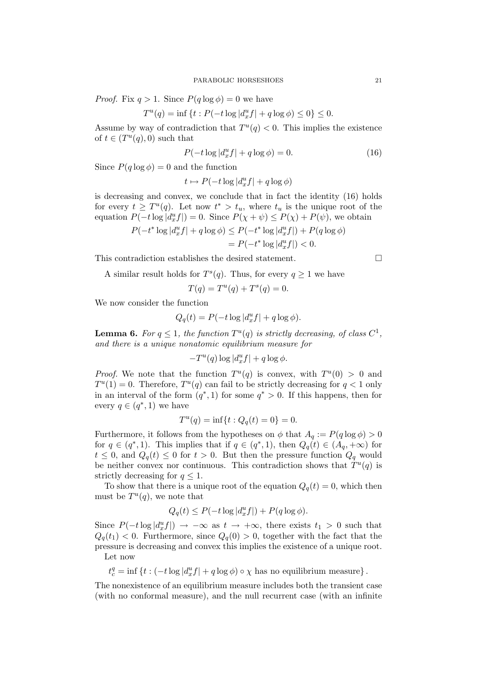*Proof.* Fix  $q > 1$ . Since  $P(q \log \phi) = 0$  we have

$$
T^{u}(q) = \inf \{ t : P(-t \log |d_{x}^{u} f| + q \log \phi) \le 0 \} \le 0.
$$

Assume by way of contradiction that  $T^u(q) < 0$ . This implies the existence of  $t \in (T^u(q), 0)$  such that

$$
P(-t\log|d_x^u f| + q\log\phi) = 0.
$$
\n(16)

Since  $P(q \log \phi) = 0$  and the function

$$
t \mapsto P(-t \log |d_x^u f| + q \log \phi)
$$

is decreasing and convex, we conclude that in fact the identity (16) holds for every  $t \geq T^u(q)$ . Let now  $t^* > t_u$ , where  $t_u$  is the unique root of the equation  $P(-t \log |d_x^u f|) = 0$ . Since  $P(\chi + \psi) \le P(\chi) + P(\psi)$ , we obtain

$$
P(-t^* \log |d_x^u f| + q \log \phi) \le P(-t^* \log |d_x^u f|) + P(q \log \phi)
$$
  
=  $P(-t^* \log |d_x^u f|) < 0.$ 

This contradiction establishes the desired statement.  $\Box$ 

A similar result holds for  $T<sup>s</sup>(q)$ . Thus, for every  $q \ge 1$  we have

$$
T(q) = T^u(q) + T^s(q) = 0.
$$

We now consider the function

$$
Q_q(t) = P(-t \log |d_x^u f| + q \log \phi).
$$

**Lemma 6.** For  $q \leq 1$ , the function  $T^u(q)$  is strictly decreasing, of class  $C^1$ , and there is a unique nonatomic equilibrium measure for

$$
-T^u(q)\log |d_x^uf| + q\log \phi.
$$

*Proof.* We note that the function  $T^u(q)$  is convex, with  $T^u(0) > 0$  and  $T^u(1) = 0$ . Therefore,  $T^u(q)$  can fail to be strictly decreasing for  $q < 1$  only in an interval of the form  $(q^*, 1)$  for some  $q^* > 0$ . If this happens, then for every  $q \in (q^*, 1)$  we have

$$
T^u(q) = \inf\{t : Q_q(t) = 0\} = 0.
$$

Furthermore, it follows from the hypotheses on  $\phi$  that  $A_q := P(q \log \phi) > 0$ for  $q \in (q^*, 1)$ . This implies that if  $q \in (q^*, 1)$ , then  $Q_q(t) \in (A_q, +\infty)$  for  $t \leq 0$ , and  $Q_q(t) \leq 0$  for  $t > 0$ . But then the pressure function  $Q_q$  would be neither convex nor continuous. This contradiction shows that  $\hat{T}^u(q)$  is strictly decreasing for  $q \leq 1$ .

To show that there is a unique root of the equation  $Q_q(t) = 0$ , which then must be  $T^u(q)$ , we note that

$$
Q_q(t) \le P(-t \log |d_x^u f|) + P(q \log \phi).
$$

Since  $P(-t \log |d_x^u f|) \rightarrow -\infty$  as  $t \rightarrow +\infty$ , there exists  $t_1 > 0$  such that  $Q_q(t_1) < 0$ . Furthermore, since  $Q_q(0) > 0$ , together with the fact that the pressure is decreasing and convex this implies the existence of a unique root. Let now

 $t_c^q = \inf \left\{ t : \left( -t \log |d_x^u f| + q \log \phi \right) \circ \chi \right\}$  has no equilibrium measure}.

The nonexistence of an equilibrium measure includes both the transient case (with no conformal measure), and the null recurrent case (with an infinite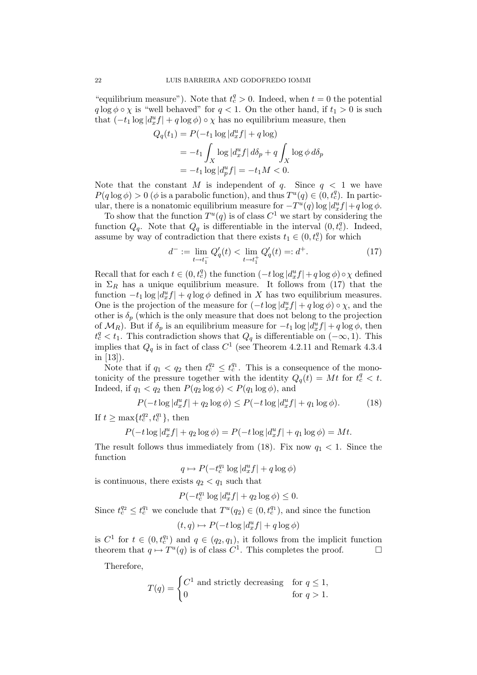"equilibrium measure"). Note that  $t_c^q > 0$ . Indeed, when  $t = 0$  the potential  $q \log \phi \circ \chi$  is "well behaved" for  $q < 1$ . On the other hand, if  $t_1 > 0$  is such that  $(-t_1 \log |d_x^u f| + q \log \phi) \circ \chi$  has no equilibrium measure, then

$$
Q_q(t_1) = P(-t_1 \log |d_x^u f| + q \log)
$$
  
=  $-t_1 \int_X \log |d_x^u f| d\delta_p + q \int_X \log \phi d\delta_p$   
=  $-t_1 \log |d_p^u f| = -t_1 M < 0.$ 

Note that the constant M is independent of q. Since  $q < 1$  we have  $P(q \log \phi) > 0$  ( $\phi$  is a parabolic function), and thus  $T^u(q) \in (0, t_c^q)$ . In particular, there is a nonatomic equilibrium measure for  $-T^u(q) \log |d_x^u f| + q \log \phi$ .

To show that the function  $T^u(q)$  is of class  $C^1$  we start by considering the function  $Q_q$ . Note that  $Q_q$  is differentiable in the interval  $(0, t_c^q)$ . Indeed, assume by way of contradiction that there exists  $t_1 \in (0, t_c^q)$  for which

$$
d^- := \lim_{t \to t_1^-} Q'_q(t) < \lim_{t \to t_1^+} Q'_q(t) =: d^+.
$$
\n(17)

Recall that for each  $t \in (0, t_c^q)$  the function  $(-t \log |d_x^u f| + q \log \phi) \circ \chi$  defined in  $\Sigma_R$  has a unique equilibrium measure. It follows from (17) that the function  $-t_1 \log |d_x^u f| + q \log \phi$  defined in X has two equilibrium measures. One is the projection of the measure for  $(-t \log |d_x^u f| + q \log \phi) \circ \chi$ , and the other is  $\delta_p$  (which is the only measure that does not belong to the projection of  $\mathcal{M}_R$ ). But if  $\delta_p$  is an equilibrium measure for  $-t_1 \log |d_x^u f| + q \log \phi$ , then  $t_c^q < t_1$ . This contradiction shows that  $Q_q$  is differentiable on  $(-\infty, 1)$ . This implies that  $Q_q$  is in fact of class  $C^1$  (see Theorem 4.2.11 and Remark 4.3.4) in [13]).

Note that if  $q_1 < q_2$  then  $t_c^{q_2} \leq t_c^{q_1}$ . This is a consequence of the monotonicity of the pressure together with the identity  $Q_q(t) = Mt$  for  $t_c^q < t$ . Indeed, if  $q_1 < q_2$  then  $P(q_2 \log \phi) < P(q_1 \log \phi)$ , and

$$
P(-t\log|d_x^u f| + q_2\log\phi) \le P(-t\log|d_x^u f| + q_1\log\phi). \tag{18}
$$

If  $t \geq \max\{t_c^{q_2}, t_c^{q_1}\}\,$ , then

$$
P(-t \log |d_x^u f| + q_2 \log \phi) = P(-t \log |d_x^u f| + q_1 \log \phi) = Mt.
$$

The result follows thus immediately from (18). Fix now  $q_1 < 1$ . Since the function

$$
q \mapsto P(-t_c^{q_1} \log |d_x^u f| + q \log \phi)
$$

is continuous, there exists  $q_2 < q_1$  such that

$$
P(-t_c^{q_1}\log|d_x^uf|+q_2\log\phi)\leq 0.
$$

Since  $t_c^{q_2} \leq t_c^{q_1}$  we conclude that  $T^u(q_2) \in (0, t_c^{q_1})$ , and since the function

$$
(t,q) \mapsto P(-t \log |d_x^u f| + q \log \phi)
$$

is  $C^1$  for  $t \in (0, t_c^{q_1})$  and  $q \in (q_2, q_1)$ , it follows from the implicit function theorem that  $q \mapsto T^u(q)$  is of class  $C^1$ . This completes the proof.

Therefore,

$$
T(q) = \begin{cases} C^1 \text{ and strictly decreasing} & \text{for } q \le 1, \\ 0 & \text{for } q > 1. \end{cases}
$$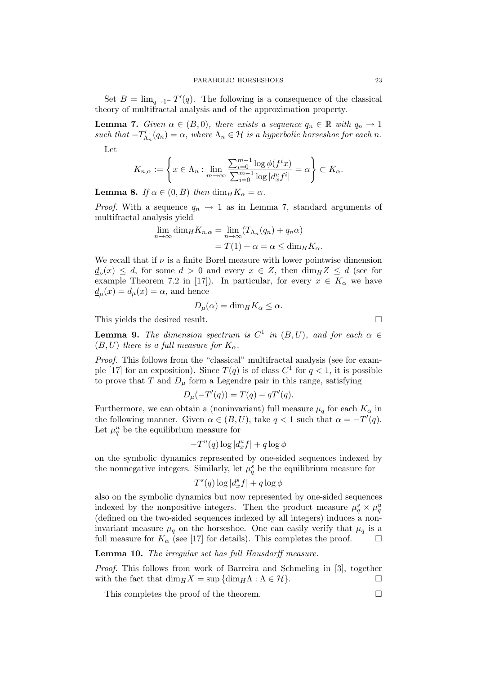Set  $B = \lim_{q \to 1^-} T'(q)$ . The following is a consequence of the classical theory of multifractal analysis and of the approximation property.

**Lemma 7.** Given  $\alpha \in (B, 0)$ , there exists a sequence  $q_n \in \mathbb{R}$  with  $q_n \to 1$ such that  $-T'_{\Lambda_n}(q_n) = \alpha$ , where  $\Lambda_n \in \mathcal{H}$  is a hyperbolic horseshoe for each n.

Let

$$
K_{n,\alpha} := \left\{ x \in \Lambda_n : \lim_{m \to \infty} \frac{\sum_{i=0}^{m-1} \log \phi(f^i x)}{\sum_{i=0}^{m-1} \log |d^u_x f^i|} = \alpha \right\} \subset K_\alpha.
$$

**Lemma 8.** If  $\alpha \in (0, B)$  then  $\dim_H K_\alpha = \alpha$ .

*Proof.* With a sequence  $q_n \to 1$  as in Lemma 7, standard arguments of multifractal analysis yield

$$
\lim_{n \to \infty} \dim_H K_{n,\alpha} = \lim_{n \to \infty} (T_{\Lambda_n}(q_n) + q_n \alpha)
$$

$$
= T(1) + \alpha = \alpha \le \dim_H K_\alpha.
$$

We recall that if  $\nu$  is a finite Borel measure with lower pointwise dimension  $\underline{d}_{\nu}(x) \leq d$ , for some  $d > 0$  and every  $x \in Z$ , then  $\dim_{H} Z \leq d$  (see for example Theorem 7.2 in [17]). In particular, for every  $x \in K_{\alpha}$  we have  $\underline{d}_{\mu}(x) = d_{\mu}(x) = \alpha$ , and hence

$$
D_{\mu}(\alpha) = \dim_{H} K_{\alpha} \leq \alpha.
$$

This yields the desired result.

**Lemma 9.** The dimension spectrum is  $C^1$  in  $(B, U)$ , and for each  $\alpha \in$  $(B, U)$  there is a full measure for  $K_{\alpha}$ .

Proof. This follows from the "classical" multifractal analysis (see for example [17] for an exposition). Since  $T(q)$  is of class  $C^1$  for  $q < 1$ , it is possible to prove that  $T$  and  $D_{\mu}$  form a Legendre pair in this range, satisfying

$$
D_{\mu}(-T'(q)) = T(q) - qT'(q).
$$

Furthermore, we can obtain a (noninvariant) full measure  $\mu_q$  for each  $K_\alpha$  in the following manner. Given  $\alpha \in (B, U)$ , take  $q < 1$  such that  $\alpha = -T'(q)$ . Let  $\mu_q^u$  be the equilibrium measure for

$$
-T^u(q)\log |d^u_x f| + q\log \phi
$$

on the symbolic dynamics represented by one-sided sequences indexed by the nonnegative integers. Similarly, let  $\mu_q^s$  be the equilibrium measure for

$$
T^s(q)\log |d_x^sf| + q\log \phi
$$

also on the symbolic dynamics but now represented by one-sided sequences indexed by the nonpositive integers. Then the product measure  $\mu_q^s \times \mu_q^u$ (defined on the two-sided sequences indexed by all integers) induces a noninvariant measure  $\mu_q$  on the horseshoe. One can easily verify that  $\mu_q$  is a full measure for  $K_{\alpha}$  (see [17] for details). This completes the proof.  $\square$ 

Lemma 10. The irregular set has full Hausdorff measure.

Proof. This follows from work of Barreira and Schmeling in [3], together with the fact that  $\dim_H X = \sup \{ \dim_H \Lambda : \Lambda \in \mathcal{H} \}.$ 

This completes the proof of the theorem.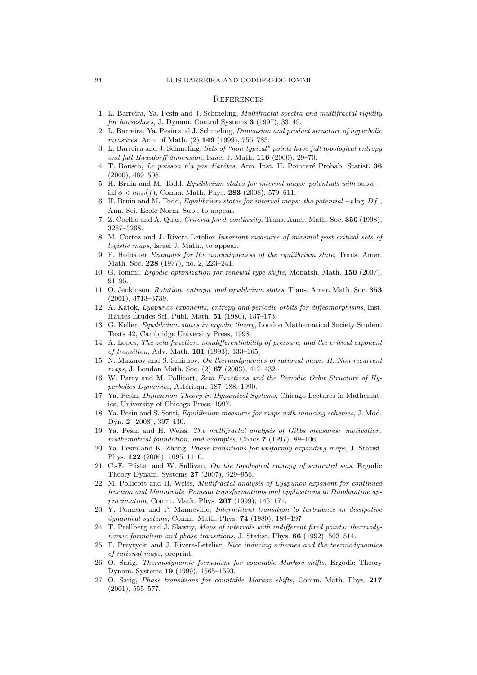#### **REFERENCES**

- 1. L. Barreira, Ya. Pesin and J. Schmeling, Multifractal spectra and multifractal rigidity for horseshoes, J. Dynam. Control Systems 3 (1997), 33–49.
- 2. L. Barreira, Ya. Pesin and J. Schmeling, Dimension and product structure of hyperbolic measures, Ann. of Math. (2) 149 (1999), 755–783.
- 3. L. Barreira and J. Schmeling, Sets of "non-typical" points have full topological entropy and full Hausdorff dimension, Israel J. Math. 116 (2000), 29–70.
- 4. T. Bousch, Le poisson n'a pas d'arêtes, Ann. Inst. H. Poincaré Probab. Statist. 36 (2000), 489–508.
- 5. H. Bruin and M. Todd, Equilibrium states for interval maps: potentials with  $\sup \phi$ inf  $\phi < h_{\text{top}}(f)$ , Comm. Math. Phys. 283 (2008), 579–611.
- 6. H. Bruin and M. Todd, Equilibrium states for interval maps: the potential  $-t \log |Df|$ , Ann. Sci. Ecole Norm. Sup., to appear.
- 7. Z. Coelho and A. Quas, Criteria for  $\overline{d}$ -continuity, Trans. Amer. Math. Soc. 350 (1998), 3257–3268.
- 8. M. Cortez and J. Rivera-Letelier Invariant measures of minimal post-critical sets of logistic maps, Israel J. Math., to appear.
- 9. F. Hofbauer Examples for the nonuniqueness of the equilibrium state, Trans. Amer. Math. Soc. 228 (1977), no. 2, 223–241.
- 10. G. Iommi, Ergodic optimization for renewal type shifts, Monatsh. Math. 150 (2007), 91–95.
- 11. O. Jenkinson, Rotation, entropy, and equilibrium states, Trans. Amer. Math. Soc. 353 (2001), 3713–3739.
- 12. A. Katok, Lyapunov exponents, entropy and periodic orbits for diffeomorphisms, Inst. Hautes Études Sci. Publ. Math.  $51$  (1980), 137–173.
- 13. G. Keller, *Equilibrium states in ergodic theory*, London Mathematical Society Student Texts 42, Cambridge University Press, 1998.
- 14. A. Lopes, The zeta function, nondifferentiability of pressure, and the critical exponent of transition, Adv. Math. 101 (1993), 133–165.
- 15. N. Makarov and S. Smirnov, On thermodynamics of rational maps. II. Non-recurrent maps, J. London Math. Soc. (2) **67** (2003), 417-432.
- 16. W. Parry and M. Pollicott, Zeta Functions and the Periodic Orbit Structure of Hyperbolics Dynamics, Astérisque 187–188, 1990.
- 17. Ya. Pesin, Dimension Theory in Dynamical Systems, Chicago Lectures in Mathematics, University of Chicago Press, 1997.
- 18. Ya. Pesin and S. Senti, Equilibrium measures for maps with inducing schemes, J. Mod. Dyn. 2 (2008), 397–430.
- 19. Ya. Pesin and H. Weiss, The multifractal analysis of Gibbs measures: motivation, mathematical foundation, and examples, Chaos 7 (1997), 89-106.
- 20. Ya. Pesin and K. Zhang, Phase transitions for uniformly expanding maps, J. Statist. Phys. 122 (2006), 1095–1110.
- 21. C.-E. Pfister and W. Sullivan, On the topological entropy of saturated sets, Ergodic Theory Dynam. Systems 27 (2007), 929–956.
- 22. M. Pollicott and H. Weiss, Multifractal analysis of Lyapunov exponent for continued fraction and Manneville–Pomeau transformations and applications to Diophantine approximation, Comm. Math. Phys. 207 (1999), 145–171.
- 23. Y. Pomeau and P. Manneville, Intermittent transition to turbulence in dissipative dynamical systems, Comm. Math. Phys. 74 (1980), 189–197
- 24. T. Prellberg and J. Slawny, Maps of intervals with indifferent fixed points: thermodynamic formalism and phase transitions, J. Statist. Phys. 66 (1992), 503–514.
- 25. F. Przytycki and J. Rivera-Letelier, Nice inducing schemes and the thermodynamics of rational maps, preprint.
- 26. O. Sarig, Thermodynamic formalism for countable Markov shifts, Ergodic Theory Dynam. Systems 19 (1999), 1565–1593.
- 27. O. Sarig, Phase transitions for countable Markov shifts, Comm. Math. Phys. 217 (2001), 555–577.